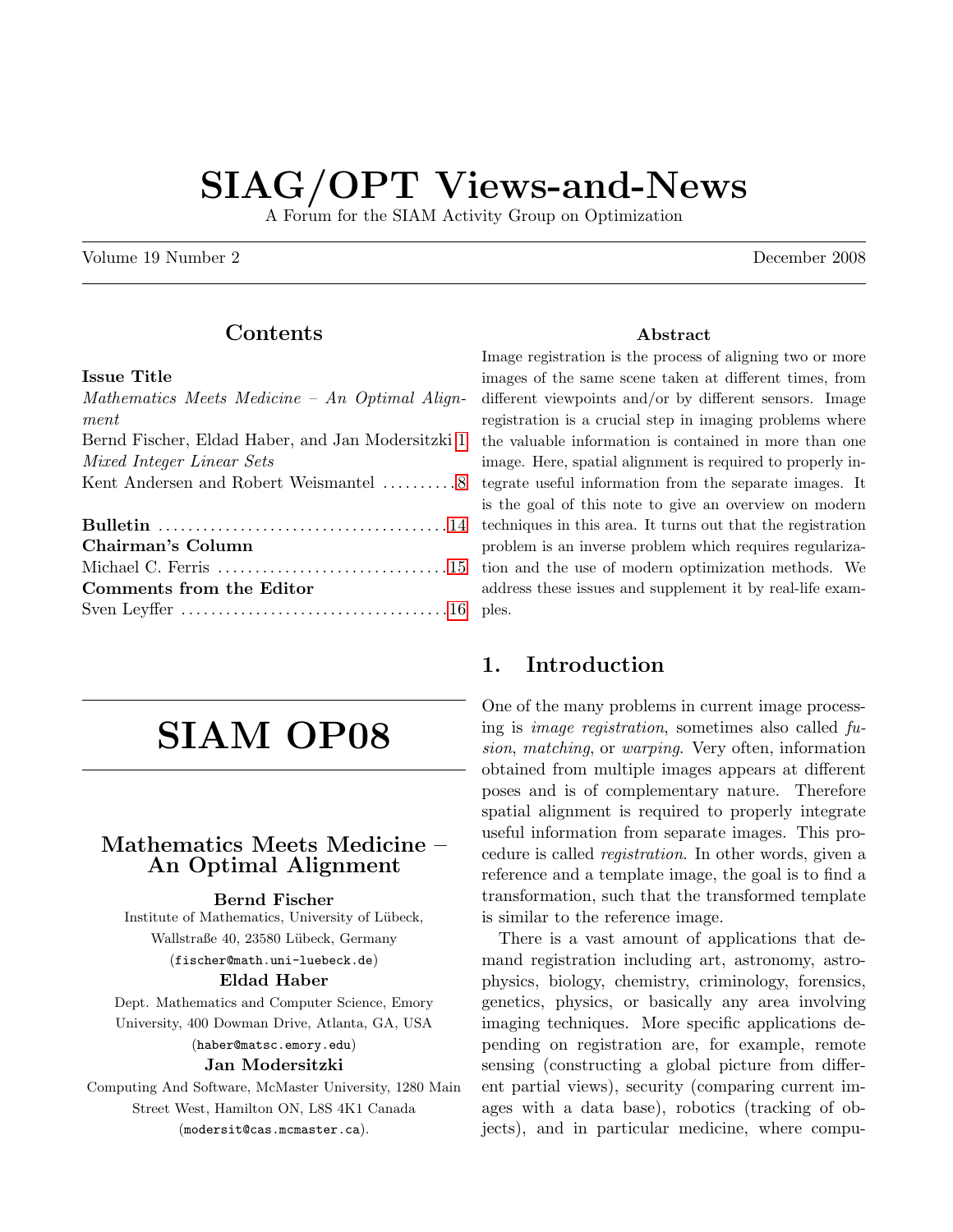# SIAG/OPT Views-and-News

A Forum for the SIAM Activity Group on Optimization

Volume 19 Number 2 December 2008

## Contents

#### Issue Title

| Mathematics Meets Medicine - An Optimal Align-    |
|---------------------------------------------------|
| ment                                              |
| Bernd Fischer, Eldad Haber, and Jan Modersitzki 1 |
| Mixed Integer Linear Sets                         |
| Kent Andersen and Robert Weismantel 8             |
|                                                   |
|                                                   |
| Chairman's Column                                 |
|                                                   |
| Comments from the Editor                          |
|                                                   |

# SIAM OP08

#### <span id="page-0-0"></span>Mathematics Meets Medicine – An Optimal Alignment

#### Bernd Fischer

Institute of Mathematics, University of Lübeck, Wallstraße 40, 23580 Lübeck, Germany (fischer@math.uni-luebeck.de) Eldad Haber

Dept. Mathematics and Computer Science, Emory University, 400 Dowman Drive, Atlanta, GA, USA (haber@matsc.emory.edu)

#### Jan Modersitzki

Computing And Software, McMaster University, 1280 Main Street West, Hamilton ON, L8S 4K1 Canada (modersit@cas.mcmaster.ca).

#### Abstract

Image registration is the process of aligning two or more images of the same scene taken at different times, from different viewpoints and/or by different sensors. Image registration is a crucial step in imaging problems where the valuable information is contained in more than one image. Here, spatial alignment is required to properly integrate useful information from the separate images. It is the goal of this note to give an overview on modern techniques in this area. It turns out that the registration problem is an inverse problem which requires regularization and the use of modern optimization methods. We address these issues and supplement it by real-life examples.

#### 1. Introduction

One of the many problems in current image processing is image registration, sometimes also called fusion, matching, or warping. Very often, information obtained from multiple images appears at different poses and is of complementary nature. Therefore spatial alignment is required to properly integrate useful information from separate images. This procedure is called registration. In other words, given a reference and a template image, the goal is to find a transformation, such that the transformed template is similar to the reference image.

There is a vast amount of applications that demand registration including art, astronomy, astrophysics, biology, chemistry, criminology, forensics, genetics, physics, or basically any area involving imaging techniques. More specific applications depending on registration are, for example, remote sensing (constructing a global picture from different partial views), security (comparing current images with a data base), robotics (tracking of objects), and in particular medicine, where compu-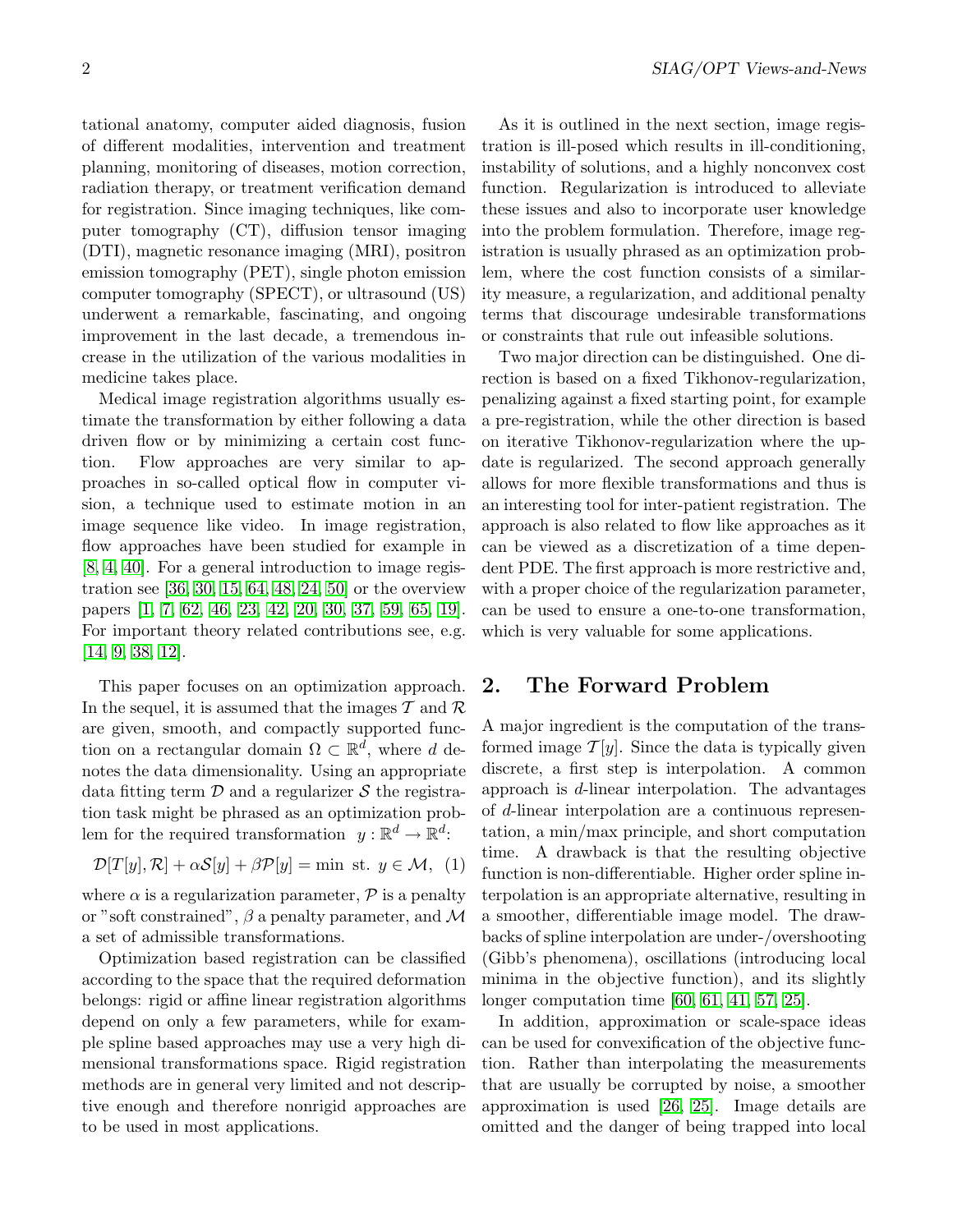tational anatomy, computer aided diagnosis, fusion of different modalities, intervention and treatment planning, monitoring of diseases, motion correction, radiation therapy, or treatment verification demand for registration. Since imaging techniques, like computer tomography (CT), diffusion tensor imaging (DTI), magnetic resonance imaging (MRI), positron emission tomography (PET), single photon emission computer tomography (SPECT), or ultrasound (US) underwent a remarkable, fascinating, and ongoing improvement in the last decade, a tremendous increase in the utilization of the various modalities in medicine takes place.

Medical image registration algorithms usually estimate the transformation by either following a data driven flow or by minimizing a certain cost function. Flow approaches are very similar to approaches in so-called optical flow in computer vision, a technique used to estimate motion in an image sequence like video. In image registration, flow approaches have been studied for example in [\[8,](#page-4-0) [4,](#page-4-1) [40\]](#page-5-0). For a general introduction to image registration see [\[36,](#page-5-1) [30,](#page-5-2) [15,](#page-4-2) [64,](#page-6-0) [48,](#page-6-1) [24,](#page-5-3) [50\]](#page-6-2) or the overview papers [\[1,](#page-4-3) [7,](#page-4-4) [62,](#page-6-3) [46,](#page-5-4) [23,](#page-5-5) [42,](#page-5-6) [20,](#page-5-7) [30,](#page-5-2) [37,](#page-5-8) [59,](#page-6-4) [65,](#page-6-5) [19\]](#page-5-9). For important theory related contributions see, e.g. [\[14,](#page-4-5) [9,](#page-4-6) [38,](#page-5-10) [12\]](#page-4-7).

This paper focuses on an optimization approach. In the sequel, it is assumed that the images  $\mathcal T$  and  $\mathcal R$ are given, smooth, and compactly supported function on a rectangular domain  $\Omega \subset \mathbb{R}^d$ , where d denotes the data dimensionality. Using an appropriate data fitting term  $\mathcal D$  and a regularizer  $\mathcal S$  the registration task might be phrased as an optimization problem for the required transformation  $y: \mathbb{R}^d \to \mathbb{R}^d$ :

<span id="page-1-0"></span>
$$
\mathcal{D}[T[y], \mathcal{R}] + \alpha \mathcal{S}[y] + \beta \mathcal{P}[y] = \min \text{ st. } y \in \mathcal{M}, \tag{1}
$$

where  $\alpha$  is a regularization parameter,  $\mathcal P$  is a penalty or "soft constrained",  $\beta$  a penalty parameter, and M a set of admissible transformations.

Optimization based registration can be classified according to the space that the required deformation belongs: rigid or affine linear registration algorithms depend on only a few parameters, while for example spline based approaches may use a very high dimensional transformations space. Rigid registration methods are in general very limited and not descriptive enough and therefore nonrigid approaches are to be used in most applications.

As it is outlined in the next section, image registration is ill-posed which results in ill-conditioning, instability of solutions, and a highly nonconvex cost function. Regularization is introduced to alleviate these issues and also to incorporate user knowledge into the problem formulation. Therefore, image registration is usually phrased as an optimization problem, where the cost function consists of a similarity measure, a regularization, and additional penalty terms that discourage undesirable transformations or constraints that rule out infeasible solutions.

Two major direction can be distinguished. One direction is based on a fixed Tikhonov-regularization, penalizing against a fixed starting point, for example a pre-registration, while the other direction is based on iterative Tikhonov-regularization where the update is regularized. The second approach generally allows for more flexible transformations and thus is an interesting tool for inter-patient registration. The approach is also related to flow like approaches as it can be viewed as a discretization of a time dependent PDE. The first approach is more restrictive and, with a proper choice of the regularization parameter, can be used to ensure a one-to-one transformation, which is very valuable for some applications.

#### 2. The Forward Problem

A major ingredient is the computation of the transformed image  $\mathcal{T}[y]$ . Since the data is typically given discrete, a first step is interpolation. A common approach is d-linear interpolation. The advantages of d-linear interpolation are a continuous representation, a min/max principle, and short computation time. A drawback is that the resulting objective function is non-differentiable. Higher order spline interpolation is an appropriate alternative, resulting in a smoother, differentiable image model. The drawbacks of spline interpolation are under-/overshooting (Gibb's phenomena), oscillations (introducing local minima in the objective function), and its slightly longer computation time [\[60,](#page-6-6) [61,](#page-6-7) [41,](#page-5-11) [57,](#page-6-8) [25\]](#page-5-12).

In addition, approximation or scale-space ideas can be used for convexification of the objective function. Rather than interpolating the measurements that are usually be corrupted by noise, a smoother approximation is used [\[26,](#page-5-13) [25\]](#page-5-12). Image details are omitted and the danger of being trapped into local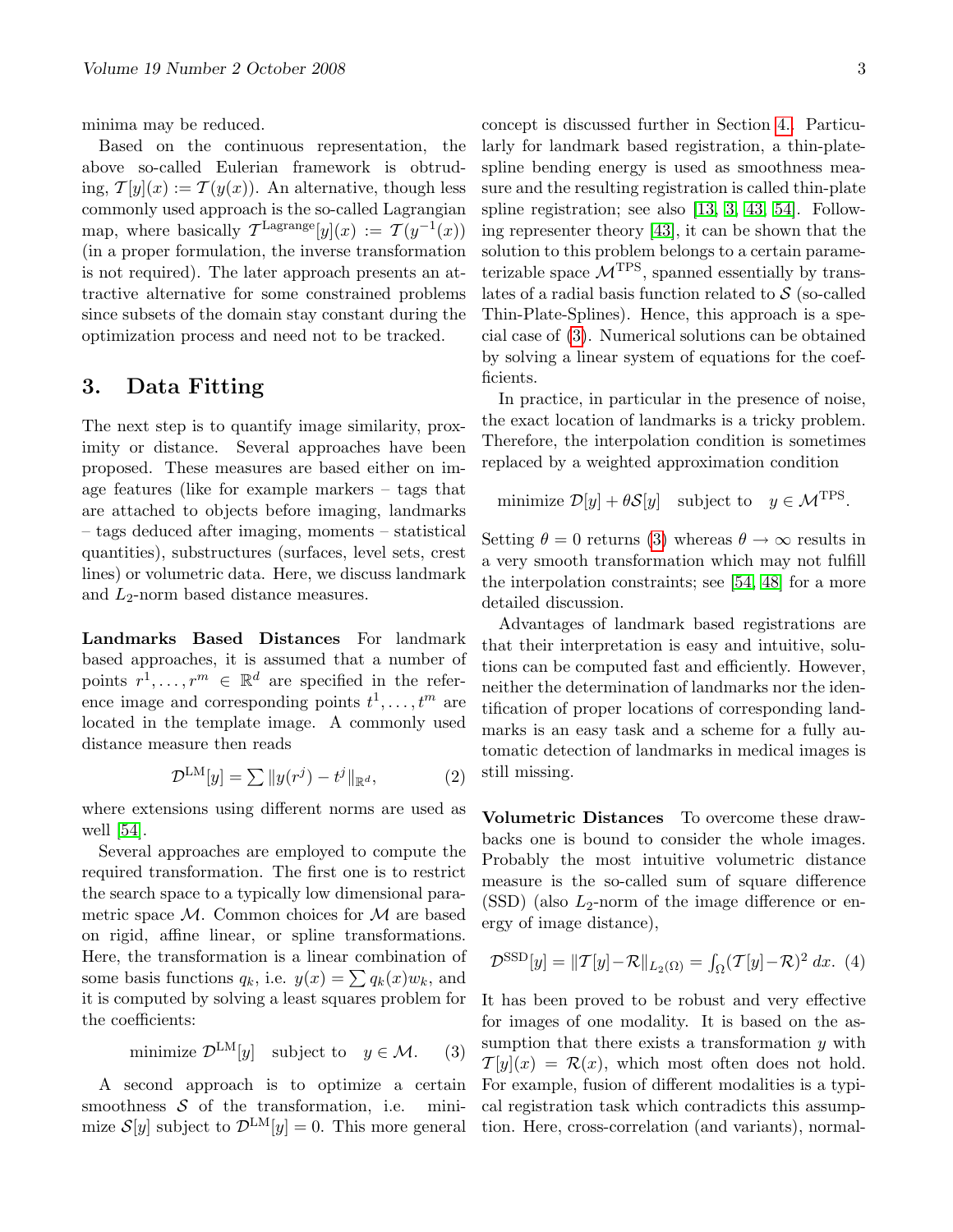minima may be reduced.

Based on the continuous representation, the above so-called Eulerian framework is obtruding,  $\mathcal{T}[y](x) := \mathcal{T}(y(x))$ . An alternative, though less commonly used approach is the so-called Lagrangian map, where basically  $\mathcal{T}^{\text{Lagrange}}[y](x) := \mathcal{T}(y^{-1}(x))$ (in a proper formulation, the inverse transformation is not required). The later approach presents an attractive alternative for some constrained problems since subsets of the domain stay constant during the optimization process and need not to be tracked.

#### 3. Data Fitting

The next step is to quantify image similarity, proximity or distance. Several approaches have been proposed. These measures are based either on image features (like for example markers – tags that are attached to objects before imaging, landmarks – tags deduced after imaging, moments – statistical quantities), substructures (surfaces, level sets, crest lines) or volumetric data. Here, we discuss landmark and  $L_2$ -norm based distance measures.

Landmarks Based Distances For landmark based approaches, it is assumed that a number of points  $r^1, \ldots, r^m \in \mathbb{R}^d$  are specified in the reference image and corresponding points  $t^1, \ldots, t^m$  are located in the template image. A commonly used distance measure then reads

$$
\mathcal{D}^{\text{LM}}[y] = \sum ||y(r^j) - t^j||_{\mathbb{R}^d},\tag{2}
$$

where extensions using different norms are used as well [\[54\]](#page-6-9).

Several approaches are employed to compute the required transformation. The first one is to restrict the search space to a typically low dimensional parametric space  $M$ . Common choices for  $M$  are based on rigid, affine linear, or spline transformations. Here, the transformation is a linear combination of some basis functions  $q_k$ , i.e.  $y(x) = \sum q_k(x)w_k$ , and it is computed by solving a least squares problem for the coefficients:

<span id="page-2-0"></span>minimize 
$$
\mathcal{D}^{\text{LM}}[y]
$$
 subject to  $y \in \mathcal{M}$ . (3)

A second approach is to optimize a certain smoothness  $S$  of the transformation, i.e. minimize  $S[y]$  subject to  $\mathcal{D}^{LM}[y] = 0$ . This more general

concept is discussed further in Section [4..](#page-3-0) Particularly for landmark based registration, a thin-platespline bending energy is used as smoothness measure and the resulting registration is called thin-plate spline registration; see also [\[13,](#page-4-8) [3,](#page-4-9) [43,](#page-5-14) [54\]](#page-6-9). Following representer theory [\[43\]](#page-5-14), it can be shown that the solution to this problem belongs to a certain parameterizable space  $\mathcal{M}$ <sup>TPS</sup>, spanned essentially by translates of a radial basis function related to  $\mathcal S$  (so-called Thin-Plate-Splines). Hence, this approach is a special case of [\(3\)](#page-2-0). Numerical solutions can be obtained by solving a linear system of equations for the coefficients.

In practice, in particular in the presence of noise, the exact location of landmarks is a tricky problem. Therefore, the interpolation condition is sometimes replaced by a weighted approximation condition

minimize 
$$
\mathcal{D}[y] + \theta \mathcal{S}[y]
$$
 subject to  $y \in \mathcal{M}^{TPS}$ .

Setting  $\theta = 0$  returns [\(3\)](#page-2-0) whereas  $\theta \rightarrow \infty$  results in a very smooth transformation which may not fulfill the interpolation constraints; see [\[54,](#page-6-9) [48\]](#page-6-1) for a more detailed discussion.

Advantages of landmark based registrations are that their interpretation is easy and intuitive, solutions can be computed fast and efficiently. However, neither the determination of landmarks nor the identification of proper locations of corresponding landmarks is an easy task and a scheme for a fully automatic detection of landmarks in medical images is still missing.

Volumetric Distances To overcome these drawbacks one is bound to consider the whole images. Probably the most intuitive volumetric distance measure is the so-called sum of square difference  $(SSD)$  (also  $L_2$ -norm of the image difference or energy of image distance),

$$
\mathcal{D}^{\text{SSD}}[y] = ||\mathcal{T}[y] - \mathcal{R}||_{L_2(\Omega)} = \int_{\Omega} (\mathcal{T}[y] - \mathcal{R})^2 dx. (4)
$$

It has been proved to be robust and very effective for images of one modality. It is based on the assumption that there exists a transformation  $y$  with  $\mathcal{T}[y](x) = \mathcal{R}(x)$ , which most often does not hold. For example, fusion of different modalities is a typical registration task which contradicts this assumption. Here, cross-correlation (and variants), normal-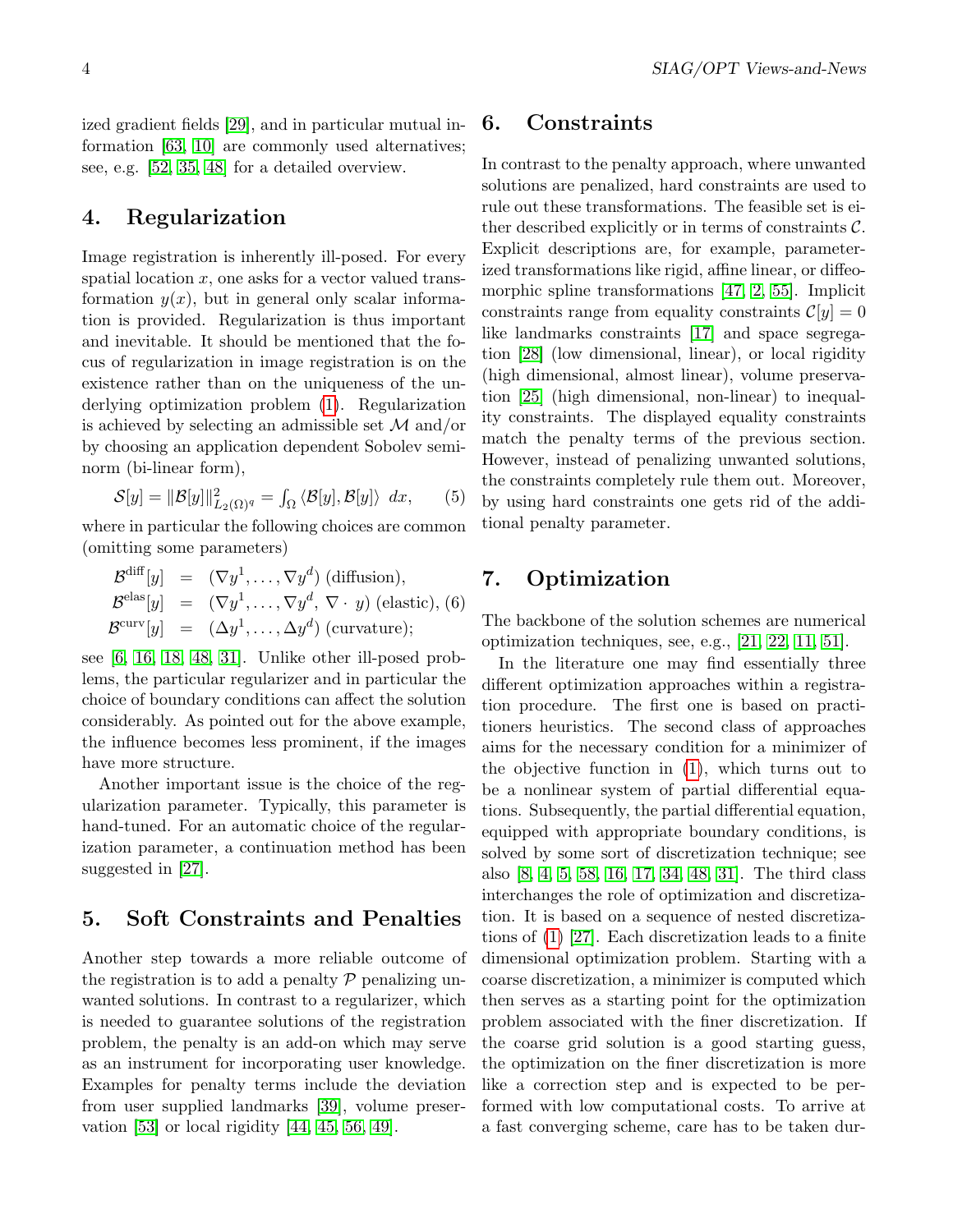#### <span id="page-3-0"></span>4. Regularization

Image registration is inherently ill-posed. For every spatial location  $x$ , one asks for a vector valued transformation  $y(x)$ , but in general only scalar information is provided. Regularization is thus important and inevitable. It should be mentioned that the focus of regularization in image registration is on the existence rather than on the uniqueness of the underlying optimization problem [\(1\)](#page-1-0). Regularization is achieved by selecting an admissible set  $\mathcal M$  and/or by choosing an application dependent Sobolev seminorm (bi-linear form),

$$
S[y] = ||\mathcal{B}[y]||_{L_2(\Omega)^q}^2 = \int_{\Omega} \langle \mathcal{B}[y], \mathcal{B}[y] \rangle dx, \qquad (5)
$$

where in particular the following choices are common (omitting some parameters)

$$
\mathcal{B}^{\text{diff}}[y] = (\nabla y^1, \dots, \nabla y^d) \text{ (diffusion)},
$$
  

$$
\mathcal{B}^{\text{elas}}[y] = (\nabla y^1, \dots, \nabla y^d, \nabla \cdot y) \text{ (elastic)}, \text{ (6)}
$$
  

$$
\mathcal{B}^{\text{curv}}[y] = (\Delta y^1, \dots, \Delta y^d) \text{ (curvature)};
$$

see [\[6,](#page-4-11) [16,](#page-4-12) [18,](#page-4-13) [48,](#page-6-1) [31\]](#page-5-17). Unlike other ill-posed problems, the particular regularizer and in particular the choice of boundary conditions can affect the solution considerably. As pointed out for the above example, the influence becomes less prominent, if the images have more structure.

Another important issue is the choice of the regularization parameter. Typically, this parameter is hand-tuned. For an automatic choice of the regularization parameter, a continuation method has been suggested in [\[27\]](#page-5-18).

### 5. Soft Constraints and Penalties

Another step towards a more reliable outcome of the registration is to add a penalty  $\mathcal P$  penalizing unwanted solutions. In contrast to a regularizer, which is needed to guarantee solutions of the registration problem, the penalty is an add-on which may serve as an instrument for incorporating user knowledge. Examples for penalty terms include the deviation from user supplied landmarks [\[39\]](#page-5-19), volume preservation  $[53]$  or local rigidity  $[44, 45, 56, 49]$  $[44, 45, 56, 49]$  $[44, 45, 56, 49]$  $[44, 45, 56, 49]$ .

#### 6. Constraints

In contrast to the penalty approach, where unwanted solutions are penalized, hard constraints are used to rule out these transformations. The feasible set is either described explicitly or in terms of constraints  $\mathcal{C}$ . Explicit descriptions are, for example, parameterized transformations like rigid, affine linear, or diffeomorphic spline transformations [\[47,](#page-6-15) [2,](#page-4-14) [55\]](#page-6-16). Implicit constraints range from equality constraints  $\mathcal{C}[y] = 0$ like landmarks constraints [\[17\]](#page-4-15) and space segregation [\[28\]](#page-5-22) (low dimensional, linear), or local rigidity (high dimensional, almost linear), volume preservation [\[25\]](#page-5-12) (high dimensional, non-linear) to inequality constraints. The displayed equality constraints match the penalty terms of the previous section. However, instead of penalizing unwanted solutions, the constraints completely rule them out. Moreover, by using hard constraints one gets rid of the additional penalty parameter.

### 7. Optimization

The backbone of the solution schemes are numerical optimization techniques, see, e.g., [\[21,](#page-5-23) [22,](#page-5-24) [11,](#page-4-16) [51\]](#page-6-17).

In the literature one may find essentially three different optimization approaches within a registration procedure. The first one is based on practitioners heuristics. The second class of approaches aims for the necessary condition for a minimizer of the objective function in [\(1\)](#page-1-0), which turns out to be a nonlinear system of partial differential equations. Subsequently, the partial differential equation, equipped with appropriate boundary conditions, is solved by some sort of discretization technique; see also [\[8,](#page-4-0) [4,](#page-4-1) [5,](#page-4-17) [58,](#page-6-18) [16,](#page-4-12) [17,](#page-4-15) [34,](#page-5-25) [48,](#page-6-1) [31\]](#page-5-17). The third class interchanges the role of optimization and discretization. It is based on a sequence of nested discretizations of [\(1\)](#page-1-0) [\[27\]](#page-5-18). Each discretization leads to a finite dimensional optimization problem. Starting with a coarse discretization, a minimizer is computed which then serves as a starting point for the optimization problem associated with the finer discretization. If the coarse grid solution is a good starting guess, the optimization on the finer discretization is more like a correction step and is expected to be performed with low computational costs. To arrive at a fast converging scheme, care has to be taken dur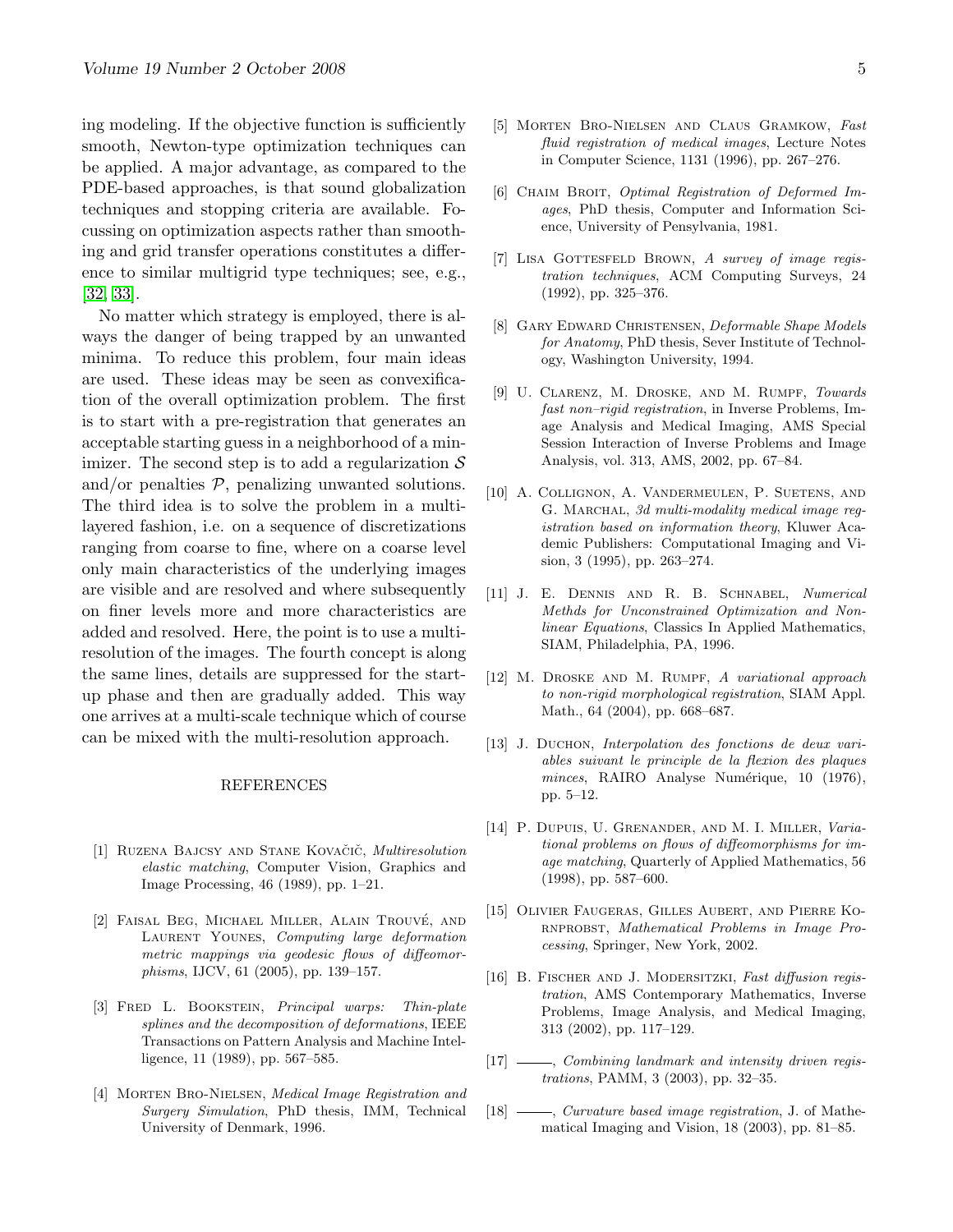ing modeling. If the objective function is sufficiently smooth, Newton-type optimization techniques can be applied. A major advantage, as compared to the PDE-based approaches, is that sound globalization techniques and stopping criteria are available. Focussing on optimization aspects rather than smoothing and grid transfer operations constitutes a difference to similar multigrid type techniques; see, e.g., [\[32,](#page-5-26) [33\]](#page-5-27).

No matter which strategy is employed, there is always the danger of being trapped by an unwanted minima. To reduce this problem, four main ideas are used. These ideas may be seen as convexification of the overall optimization problem. The first is to start with a pre-registration that generates an acceptable starting guess in a neighborhood of a minimizer. The second step is to add a regularization  $\mathcal S$ and/or penalties  $P$ , penalizing unwanted solutions. The third idea is to solve the problem in a multilayered fashion, i.e. on a sequence of discretizations ranging from coarse to fine, where on a coarse level only main characteristics of the underlying images are visible and are resolved and where subsequently on finer levels more and more characteristics are added and resolved. Here, the point is to use a multiresolution of the images. The fourth concept is along the same lines, details are suppressed for the startup phase and then are gradually added. This way one arrives at a multi-scale technique which of course can be mixed with the multi-resolution approach.

#### REFERENCES

- <span id="page-4-3"></span>[1] RUZENA BAJCSY AND STANE KOVAČIČ, Multiresolution elastic matching, Computer Vision, Graphics and Image Processing, 46 (1989), pp. 1–21.
- <span id="page-4-14"></span>[2] FAISAL BEG, MICHAEL MILLER, ALAIN TROUVÉ, AND LAURENT YOUNES, Computing large deformation metric mappings via geodesic flows of diffeomorphisms, IJCV, 61 (2005), pp. 139–157.
- <span id="page-4-9"></span>[3] FRED L. BOOKSTEIN, *Principal warps: Thin-plate* splines and the decomposition of deformations, IEEE Transactions on Pattern Analysis and Machine Intelligence, 11 (1989), pp. 567–585.
- <span id="page-4-1"></span>[4] MORTEN BRO-NIELSEN, Medical Image Registration and Surgery Simulation, PhD thesis, IMM, Technical University of Denmark, 1996.
- <span id="page-4-17"></span>[5] Morten Bro-Nielsen and Claus Gramkow, Fast fluid registration of medical images, Lecture Notes in Computer Science, 1131 (1996), pp. 267–276.
- <span id="page-4-11"></span>[6] CHAIM BROIT, Optimal Registration of Deformed Images, PhD thesis, Computer and Information Science, University of Pensylvania, 1981.
- <span id="page-4-4"></span>[7] LISA GOTTESFELD BROWN, A survey of image registration techniques, ACM Computing Surveys, 24 (1992), pp. 325–376.
- <span id="page-4-0"></span>[8] Gary Edward Christensen, Deformable Shape Models for Anatomy, PhD thesis, Sever Institute of Technology, Washington University, 1994.
- <span id="page-4-6"></span>[9] U. Clarenz, M. Droske, and M. Rumpf, Towards fast non–rigid registration, in Inverse Problems, Image Analysis and Medical Imaging, AMS Special Session Interaction of Inverse Problems and Image Analysis, vol. 313, AMS, 2002, pp. 67–84.
- <span id="page-4-10"></span>[10] A. Collignon, A. Vandermeulen, P. Suetens, and G. MARCHAL, 3d multi-modality medical image reqistration based on information theory, Kluwer Academic Publishers: Computational Imaging and Vision, 3 (1995), pp. 263–274.
- <span id="page-4-16"></span>[11] J. E. Dennis and R. B. Schnabel, Numerical Methds for Unconstrained Optimization and Nonlinear Equations, Classics In Applied Mathematics, SIAM, Philadelphia, PA, 1996.
- <span id="page-4-7"></span>[12] M. Droske and M. Rumpf, A variational approach to non-rigid morphological registration, SIAM Appl. Math., 64 (2004), pp. 668–687.
- <span id="page-4-8"></span>[13] J. DUCHON, *Interpolation des fonctions de deux vari*ables suivant le principle de la flexion des plaques minces, RAIRO Analyse Numérique, 10 (1976), pp. 5–12.
- <span id="page-4-5"></span>[14] P. DUPUIS, U. GRENANDER, AND M. I. MILLER, Variational problems on flows of diffeomorphisms for image matching, Quarterly of Applied Mathematics, 56 (1998), pp. 587–600.
- <span id="page-4-2"></span>[15] Olivier Faugeras, Gilles Aubert, and Pierre Ko-RNPROBST, Mathematical Problems in Image Processing, Springer, New York, 2002.
- <span id="page-4-12"></span>[16] B. FISCHER AND J. MODERSITZKI, Fast diffusion registration, AMS Contemporary Mathematics, Inverse Problems, Image Analysis, and Medical Imaging, 313 (2002), pp. 117–129.
- <span id="page-4-15"></span>[17]  $\frac{1}{2}$ , Combining landmark and intensity driven registrations, PAMM, 3 (2003), pp. 32–35.
- <span id="page-4-13"></span>[18]  $\frac{1}{8}$ , *Curvature based image registration*, J. of Mathematical Imaging and Vision, 18 (2003), pp. 81–85.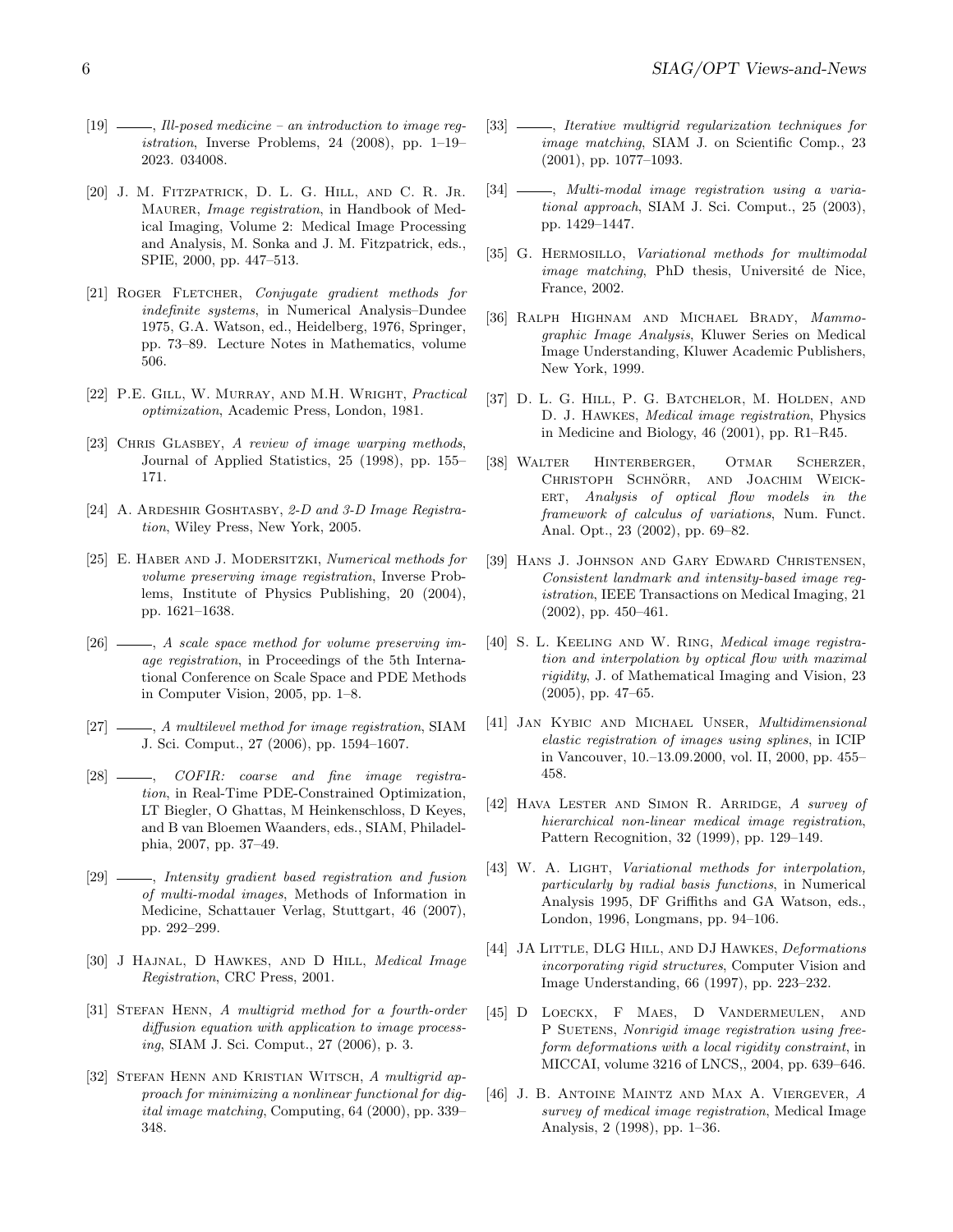- <span id="page-5-9"></span> $[19] \longrightarrow$ , Ill-posed medicine – an introduction to image req*istration*, Inverse Problems, 24  $(2008)$ , pp. 1–19– 2023. 034008.
- <span id="page-5-7"></span>[20] J. M. FITZPATRICK, D. L. G. HILL, AND C. R. JR. MAURER, *Image registration*, in Handbook of Medical Imaging, Volume 2: Medical Image Processing and Analysis, M. Sonka and J. M. Fitzpatrick, eds., SPIE, 2000, pp. 447–513.
- <span id="page-5-23"></span>[21] ROGER FLETCHER, Conjugate gradient methods for indefinite systems, in Numerical Analysis–Dundee 1975, G.A. Watson, ed., Heidelberg, 1976, Springer, pp. 73–89. Lecture Notes in Mathematics, volume 506.
- <span id="page-5-24"></span>[22] P.E. Gill, W. Murray, and M.H. Wright, Practical optimization, Academic Press, London, 1981.
- <span id="page-5-5"></span>[23] CHRIS GLASBEY, A review of image warping methods, Journal of Applied Statistics, 25 (1998), pp. 155– 171.
- <span id="page-5-3"></span>[24] A. ARDESHIR GOSHTASBY, 2-D and 3-D Image Registration, Wiley Press, New York, 2005.
- <span id="page-5-12"></span>[25] E. HABER AND J. MODERSITZKI, Numerical methods for volume preserving image registration, Inverse Problems, Institute of Physics Publishing, 20 (2004), pp. 1621–1638.
- <span id="page-5-13"></span> $[26]$   $\longrightarrow$ , A scale space method for volume preserving image registration, in Proceedings of the 5th International Conference on Scale Space and PDE Methods in Computer Vision, 2005, pp. 1–8.
- <span id="page-5-18"></span>[27]  $\frac{1}{27}$ , A multilevel method for image registration, SIAM J. Sci. Comput., 27 (2006), pp. 1594–1607.
- <span id="page-5-22"></span> $[28]$  - COFIR: coarse and fine image registration, in Real-Time PDE-Constrained Optimization, LT Biegler, O Ghattas, M Heinkenschloss, D Keyes, and B van Bloemen Waanders, eds., SIAM, Philadelphia, 2007, pp. 37–49.
- <span id="page-5-15"></span>[29]  $\frac{1}{29}$ , Intensity gradient based registration and fusion of multi-modal images, Methods of Information in Medicine, Schattauer Verlag, Stuttgart, 46 (2007), pp. 292–299.
- <span id="page-5-2"></span>[30] J HAJNAL, D HAWKES, AND D HILL, Medical Image Registration, CRC Press, 2001.
- <span id="page-5-17"></span>[31] STEFAN HENN, A multigrid method for a fourth-order diffusion equation with application to image processing, SIAM J. Sci. Comput., 27 (2006), p. 3.
- <span id="page-5-26"></span>[32] STEFAN HENN AND KRISTIAN WITSCH, A multigrid approach for minimizing a nonlinear functional for digital image matching, Computing, 64 (2000), pp. 339– 348.
- <span id="page-5-27"></span>[33]  $\frac{1}{2}$ , Iterative multigrid regularization techniques for image matching, SIAM J. on Scientific Comp., 23 (2001), pp. 1077–1093.
- <span id="page-5-25"></span>[34]  $\frac{1}{2}$ , Multi-modal image registration using a variational approach, SIAM J. Sci. Comput., 25 (2003), pp. 1429–1447.
- <span id="page-5-16"></span>[35] G. HERMOSILLO, Variational methods for multimodal image matching, PhD thesis, Université de Nice, France, 2002.
- <span id="page-5-1"></span>[36] Ralph Highnam and Michael Brady, Mammographic Image Analysis, Kluwer Series on Medical Image Understanding, Kluwer Academic Publishers, New York, 1999.
- <span id="page-5-8"></span>[37] D. L. G. Hill, P. G. Batchelor, M. Holden, and D. J. Hawkes, Medical image registration, Physics in Medicine and Biology, 46 (2001), pp. R1–R45.
- <span id="page-5-10"></span>[38] Walter Hinterberger, Otmar Scherzer, CHRISTOPH SCHNÖRR, AND JOACHIM WEICK-ERT, Analysis of optical flow models in the framework of calculus of variations, Num. Funct. Anal. Opt., 23 (2002), pp. 69–82.
- <span id="page-5-19"></span>[39] Hans J. Johnson and Gary Edward Christensen, Consistent landmark and intensity-based image registration, IEEE Transactions on Medical Imaging, 21 (2002), pp. 450–461.
- <span id="page-5-0"></span>[40] S. L. KEELING AND W. RING, Medical image registration and interpolation by optical flow with maximal rigidity, J. of Mathematical Imaging and Vision, 23 (2005), pp. 47–65.
- <span id="page-5-11"></span>[41] Jan Kybic and Michael Unser, Multidimensional elastic registration of images using splines, in ICIP in Vancouver, 10.–13.09.2000, vol. II, 2000, pp. 455– 458.
- <span id="page-5-6"></span>[42] HAVA LESTER AND SIMON R. ARRIDGE, A survey of hierarchical non-linear medical image registration, Pattern Recognition, 32 (1999), pp. 129–149.
- <span id="page-5-14"></span>[43] W. A. LIGHT, Variational methods for interpolation, particularly by radial basis functions, in Numerical Analysis 1995, DF Griffiths and GA Watson, eds., London, 1996, Longmans, pp. 94–106.
- <span id="page-5-20"></span>[44] JA LITTLE, DLG HILL, AND DJ HAWKES, Deformations incorporating rigid structures, Computer Vision and Image Understanding, 66 (1997), pp. 223–232.
- <span id="page-5-21"></span>[45] D LOECKX, F MAES, D VANDERMEULEN, AND P SUETENS, Nonrigid image registration using freeform deformations with a local rigidity constraint, in MICCAI, volume 3216 of LNCS,, 2004, pp. 639–646.
- <span id="page-5-4"></span>[46] J. B. Antoine Maintz and Max A. Viergever, A survey of medical image registration, Medical Image Analysis, 2 (1998), pp. 1–36.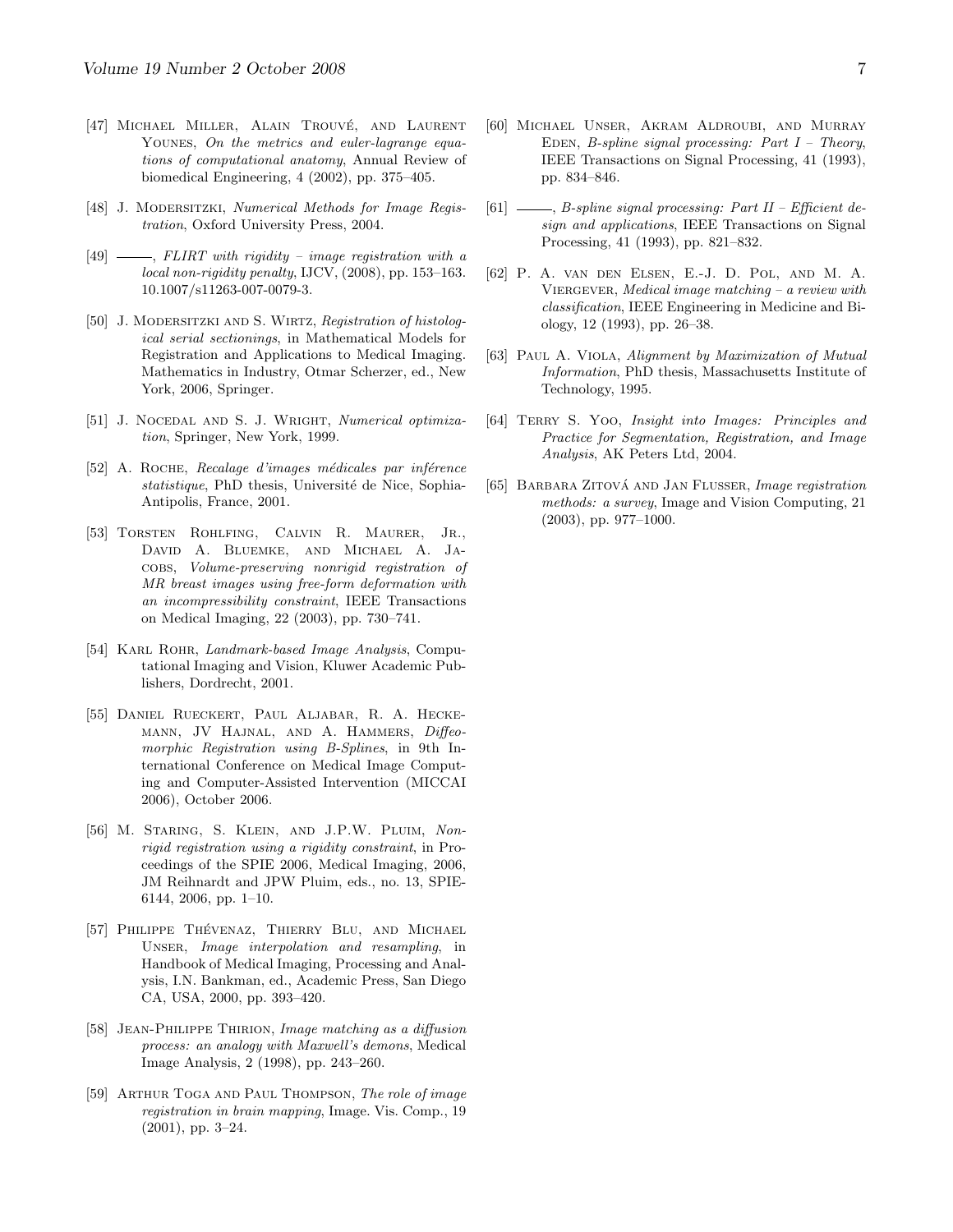- <span id="page-6-15"></span>[47] MICHAEL MILLER, ALAIN TROUVÉ, AND LAURENT YOUNES, On the metrics and euler-lagrange equations of computational anatomy, Annual Review of biomedical Engineering, 4 (2002), pp. 375–405.
- <span id="page-6-1"></span>[48] J. MODERSITZKI, Numerical Methods for Image Registration, Oxford University Press, 2004.
- <span id="page-6-14"></span> $[49]$   $\longrightarrow$ , FLIRT with rigidity – image registration with a local non-rigidity penalty, IJCV, (2008), pp. 153–163. 10.1007/s11263-007-0079-3.
- <span id="page-6-2"></span>[50] J. MODERSITZKI AND S. WIRTZ, Registration of histological serial sectionings, in Mathematical Models for Registration and Applications to Medical Imaging. Mathematics in Industry, Otmar Scherzer, ed., New York, 2006, Springer.
- <span id="page-6-17"></span>[51] J. NOCEDAL AND S. J. WRIGHT, Numerical optimization, Springer, New York, 1999.
- <span id="page-6-11"></span>[52] A. ROCHE, Recalage d'images médicales par inférence statistique, PhD thesis, Université de Nice, Sophia-Antipolis, France, 2001.
- <span id="page-6-12"></span>[53] Torsten Rohlfing, Calvin R. Maurer, Jr., David A. Bluemke, and Michael A. Jacobs, Volume-preserving nonrigid registration of MR breast images using free-form deformation with an incompressibility constraint, IEEE Transactions on Medical Imaging, 22 (2003), pp. 730–741.
- <span id="page-6-9"></span>[54] KARL ROHR, *Landmark-based Image Analysis*, Computational Imaging and Vision, Kluwer Academic Publishers, Dordrecht, 2001.
- <span id="page-6-16"></span>[55] Daniel Rueckert, Paul Aljabar, R. A. Heckemann, JV Hajnal, and A. Hammers, Diffeomorphic Registration using B-Splines, in 9th International Conference on Medical Image Computing and Computer-Assisted Intervention (MICCAI 2006), October 2006.
- <span id="page-6-13"></span>[56] M. Staring, S. Klein, and J.P.W. Pluim, Nonrigid registration using a rigidity constraint, in Proceedings of the SPIE 2006, Medical Imaging, 2006, JM Reihnardt and JPW Pluim, eds., no. 13, SPIE-6144, 2006, pp. 1–10.
- <span id="page-6-8"></span>[57] PHILIPPE THÉVENAZ, THIERRY BLU, AND MICHAEL Unser, Image interpolation and resampling, in Handbook of Medical Imaging, Processing and Analysis, I.N. Bankman, ed., Academic Press, San Diego CA, USA, 2000, pp. 393–420.
- <span id="page-6-18"></span>[58] Jean-Philippe Thirion, Image matching as a diffusion process: an analogy with Maxwell's demons, Medical Image Analysis, 2 (1998), pp. 243–260.
- <span id="page-6-4"></span>[59] Arthur Toga and Paul Thompson, The role of image registration in brain mapping, Image. Vis. Comp., 19 (2001), pp. 3–24.
- <span id="page-6-6"></span>[60] Michael Unser, Akram Aldroubi, and Murray EDEN, B-spline signal processing: Part  $I$  – Theory, IEEE Transactions on Signal Processing, 41 (1993), pp. 834–846.
- <span id="page-6-7"></span>[61]  $\_\_\_\_\_\$  B-spline signal processing: Part II – Efficient design and applications, IEEE Transactions on Signal Processing, 41 (1993), pp. 821–832.
- <span id="page-6-3"></span>[62] P. A. van den Elsen, E.-J. D. Pol, and M. A. VIERGEVER, Medical image matching - a review with classification, IEEE Engineering in Medicine and Biology, 12 (1993), pp. 26–38.
- <span id="page-6-10"></span>[63] PAUL A. VIOLA, Alignment by Maximization of Mutual Information, PhD thesis, Massachusetts Institute of Technology, 1995.
- <span id="page-6-0"></span>[64] TERRY S. YOO, Insight into Images: Principles and Practice for Segmentation, Registration, and Image Analysis, AK Peters Ltd, 2004.
- <span id="page-6-5"></span>[65] BARBARA ZITOVÁ AND JAN FLUSSER, *Image registration* methods: a survey, Image and Vision Computing, 21 (2003), pp. 977–1000.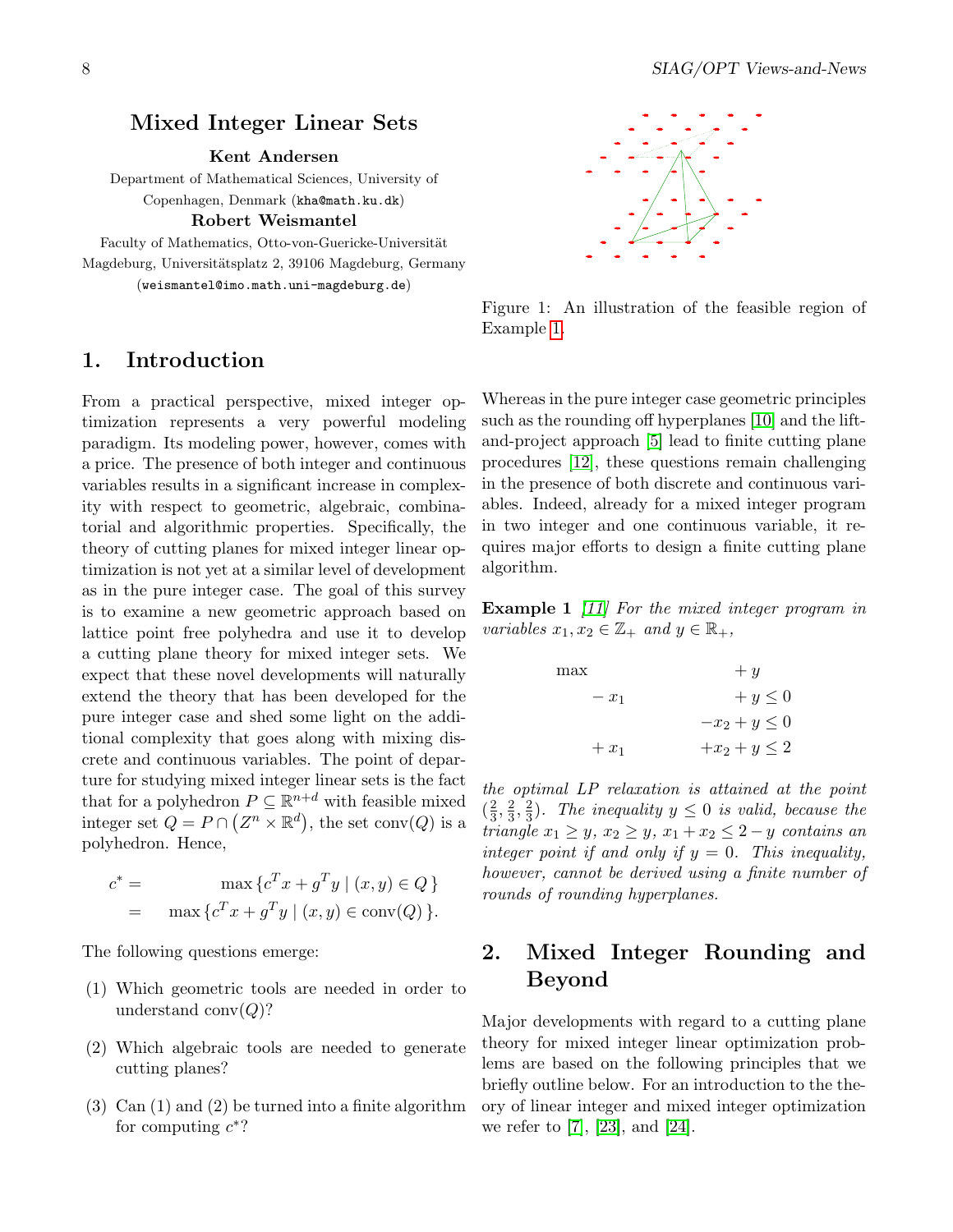#### <span id="page-7-0"></span>Mixed Integer Linear Sets

Kent Andersen

Department of Mathematical Sciences, University of Copenhagen, Denmark (kha@math.ku.dk)

Robert Weismantel

Faculty of Mathematics, Otto-von-Guericke-Universität Magdeburg, Universitätsplatz 2, 39106 Magdeburg, Germany (weismantel@imo.math.uni-magdeburg.de)

#### 1. Introduction

From a practical perspective, mixed integer optimization represents a very powerful modeling paradigm. Its modeling power, however, comes with a price. The presence of both integer and continuous variables results in a significant increase in complexity with respect to geometric, algebraic, combinatorial and algorithmic properties. Specifically, the theory of cutting planes for mixed integer linear optimization is not yet at a similar level of development as in the pure integer case. The goal of this survey is to examine a new geometric approach based on lattice point free polyhedra and use it to develop a cutting plane theory for mixed integer sets. We expect that these novel developments will naturally extend the theory that has been developed for the pure integer case and shed some light on the additional complexity that goes along with mixing discrete and continuous variables. The point of departure for studying mixed integer linear sets is the fact that for a polyhedron  $P \subseteq \mathbb{R}^{n+d}$  with feasible mixed integer set  $Q = P \cap (Z^n \times \mathbb{R}^d)$ , the set conv $(Q)$  is a polyhedron. Hence,

$$
c^* = \max \{c^T x + g^T y \mid (x, y) \in Q\}
$$

$$
= \max \{c^T x + g^T y \mid (x, y) \in \text{conv}(Q)\}.
$$

The following questions emerge:

- (1) Which geometric tools are needed in order to understand  $\text{conv}(Q)$ ?
- (2) Which algebraic tools are needed to generate cutting planes?
- (3) Can (1) and (2) be turned into a finite algorithm for computing  $c^*$ ?



Figure 1: An illustration of the feasible region of Example [1.](#page-7-1)

Whereas in the pure integer case geometric principles such as the rounding off hyperplanes [\[10\]](#page-12-0) and the liftand-project approach [\[5\]](#page-12-1) lead to finite cutting plane procedures [\[12\]](#page-12-2), these questions remain challenging in the presence of both discrete and continuous variables. Indeed, already for a mixed integer program in two integer and one continuous variable, it requires major efforts to design a finite cutting plane algorithm.

<span id="page-7-1"></span>**Example 1** [\[11\]](#page-12-3) For the mixed integer program in variables  $x_1, x_2 \in \mathbb{Z}_+$  and  $y \in \mathbb{R}_+$ ,

| max     | $+ y$             |
|---------|-------------------|
| $-x_1$  | $+y\leq 0$        |
|         | $-x_2 + y \leq 0$ |
| $+ x_1$ | $+x_2 + y \leq 2$ |

the optimal LP relaxation is attained at the point  $\left(\frac{2}{3}\right)$  $\frac{2}{3}, \frac{2}{3}$  $\frac{2}{3}, \frac{2}{3}$  $\frac{2}{3}$ ). The inequality  $y \leq 0$  is valid, because the triangle  $x_1 \geq y$ ,  $x_2 \geq y$ ,  $x_1 + x_2 \leq 2 - y$  contains an integer point if and only if  $y = 0$ . This inequality, however, cannot be derived using a finite number of rounds of rounding hyperplanes.

# 2. Mixed Integer Rounding and Beyond

Major developments with regard to a cutting plane theory for mixed integer linear optimization problems are based on the following principles that we briefly outline below. For an introduction to the theory of linear integer and mixed integer optimization we refer to [\[7\]](#page-12-4), [\[23\]](#page-13-1), and [\[24\]](#page-13-2).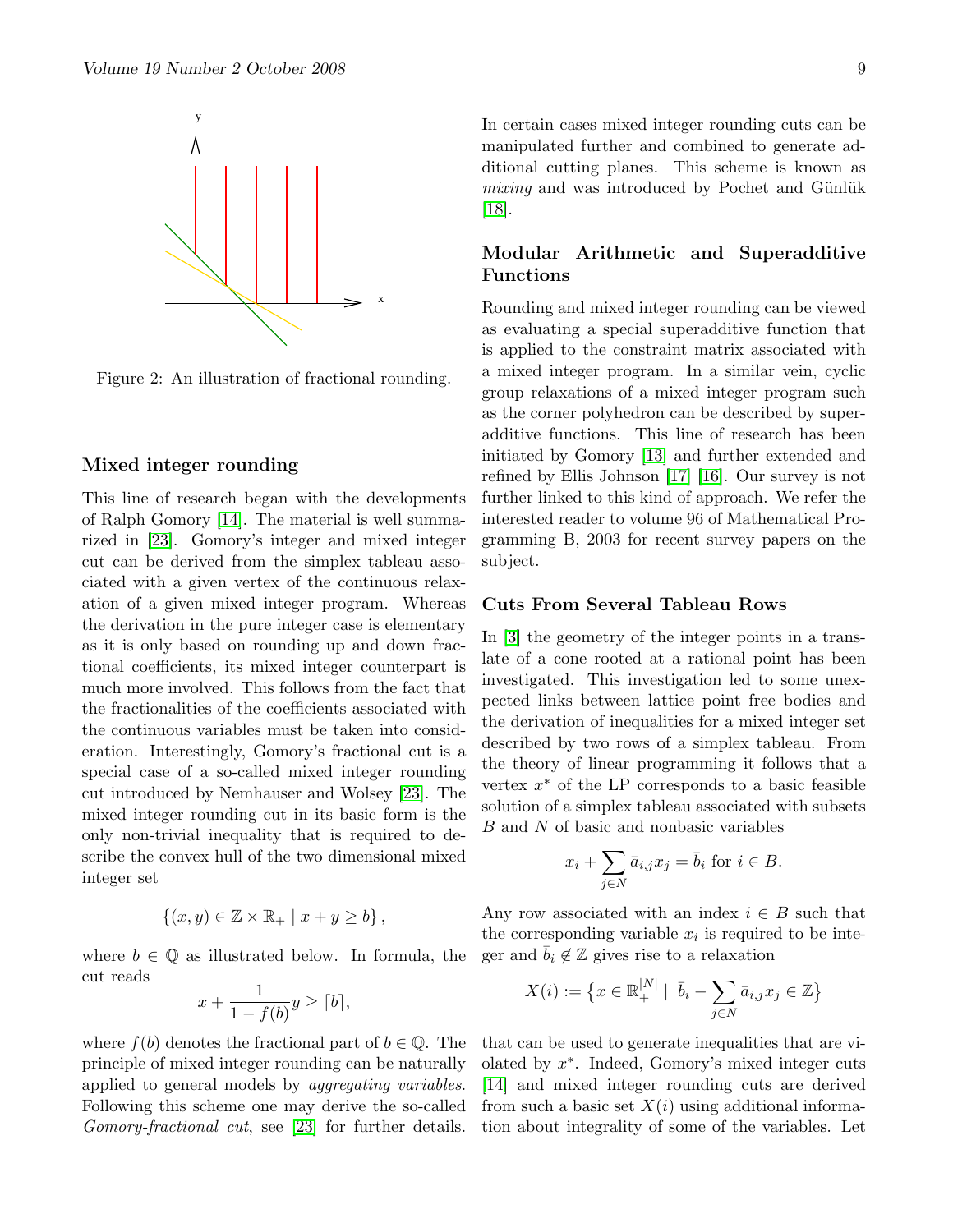

Figure 2: An illustration of fractional rounding.

#### Mixed integer rounding

This line of research began with the developments of Ralph Gomory [\[14\]](#page-12-5). The material is well summarized in [\[23\]](#page-13-1). Gomory's integer and mixed integer cut can be derived from the simplex tableau associated with a given vertex of the continuous relaxation of a given mixed integer program. Whereas the derivation in the pure integer case is elementary as it is only based on rounding up and down fractional coefficients, its mixed integer counterpart is much more involved. This follows from the fact that the fractionalities of the coefficients associated with the continuous variables must be taken into consideration. Interestingly, Gomory's fractional cut is a special case of a so-called mixed integer rounding cut introduced by Nemhauser and Wolsey [\[23\]](#page-13-1). The mixed integer rounding cut in its basic form is the only non-trivial inequality that is required to describe the convex hull of the two dimensional mixed integer set

$$
\{(x,y)\in\mathbb{Z}\times\mathbb{R}_+ \mid x+y\geq b\}\,,
$$

where  $b \in \mathbb{Q}$  as illustrated below. In formula, the cut reads

$$
x + \frac{1}{1 - f(b)}y \ge \lceil b \rceil,
$$

where  $f(b)$  denotes the fractional part of  $b \in \mathbb{Q}$ . The principle of mixed integer rounding can be naturally applied to general models by aggregating variables. Following this scheme one may derive the so-called Gomory-fractional cut, see [\[23\]](#page-13-1) for further details.

In certain cases mixed integer rounding cuts can be manipulated further and combined to generate additional cutting planes. This scheme is known as  $mixing$  and was introduced by Pochet and Günlük  $|18|$ .

#### Modular Arithmetic and Superadditive Functions

Rounding and mixed integer rounding can be viewed as evaluating a special superadditive function that is applied to the constraint matrix associated with a mixed integer program. In a similar vein, cyclic group relaxations of a mixed integer program such as the corner polyhedron can be described by superadditive functions. This line of research has been initiated by Gomory [\[13\]](#page-12-7) and further extended and refined by Ellis Johnson [\[17\]](#page-12-8) [\[16\]](#page-12-9). Our survey is not further linked to this kind of approach. We refer the interested reader to volume 96 of Mathematical Programming B, 2003 for recent survey papers on the subject.

#### Cuts From Several Tableau Rows

In [\[3\]](#page-12-10) the geometry of the integer points in a translate of a cone rooted at a rational point has been investigated. This investigation led to some unexpected links between lattice point free bodies and the derivation of inequalities for a mixed integer set described by two rows of a simplex tableau. From the theory of linear programming it follows that a vertex  $x^*$  of the LP corresponds to a basic feasible solution of a simplex tableau associated with subsets B and N of basic and nonbasic variables

$$
x_i + \sum_{j \in N} \bar{a}_{i,j} x_j = \bar{b}_i \text{ for } i \in B.
$$

Any row associated with an index  $i \in B$  such that the corresponding variable  $x_i$  is required to be integer and  $\bar{b}_i \notin \mathbb{Z}$  gives rise to a relaxation

$$
X(i) := \left\{ x \in \mathbb{R}_+^{|N|} \mid \ \overline{b}_i - \sum_{j \in N} \overline{a}_{i,j} x_j \in \mathbb{Z} \right\}
$$

that can be used to generate inequalities that are violated by x ∗ . Indeed, Gomory's mixed integer cuts [\[14\]](#page-12-5) and mixed integer rounding cuts are derived from such a basic set  $X(i)$  using additional information about integrality of some of the variables. Let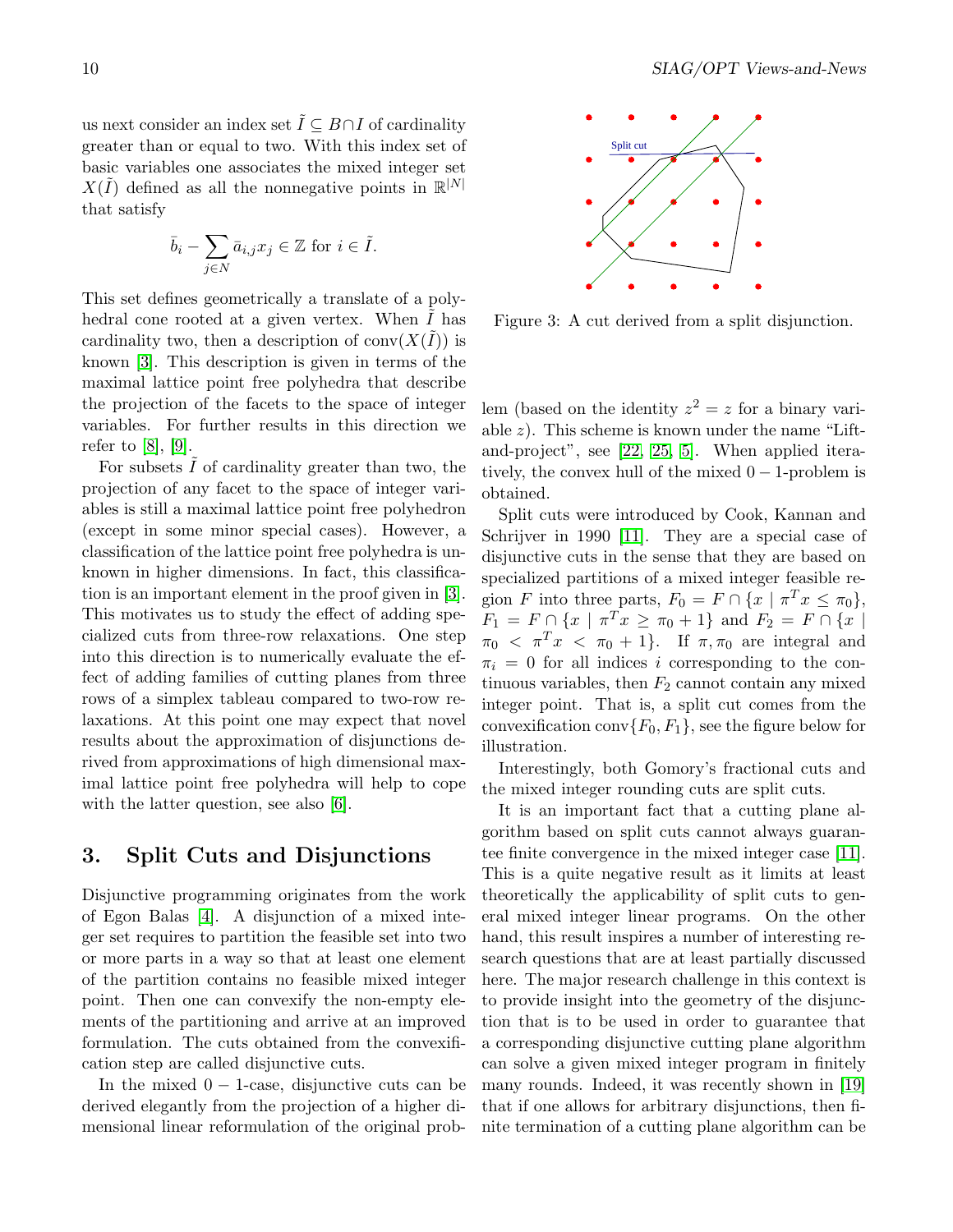us next consider an index set  $\tilde{I} \subseteq B \cap I$  of cardinality greater than or equal to two. With this index set of basic variables one associates the mixed integer set  $X(\tilde{I})$  defined as all the nonnegative points in  $\mathbb{R}^{|N|}$ that satisfy

$$
\bar{b}_i - \sum_{j \in N} \bar{a}_{i,j} x_j \in \mathbb{Z} \text{ for } i \in \tilde{I}.
$$

This set defines geometrically a translate of a polyhedral cone rooted at a given vertex. When  $I$  has cardinality two, then a description of  $\text{conv}(X(\tilde{I}))$  is known [\[3\]](#page-12-10). This description is given in terms of the maximal lattice point free polyhedra that describe the projection of the facets to the space of integer variables. For further results in this direction we refer to [\[8\]](#page-12-11), [\[9\]](#page-12-12).

For subsets  $I$  of cardinality greater than two, the projection of any facet to the space of integer variables is still a maximal lattice point free polyhedron (except in some minor special cases). However, a classification of the lattice point free polyhedra is unknown in higher dimensions. In fact, this classification is an important element in the proof given in [\[3\]](#page-12-10). This motivates us to study the effect of adding specialized cuts from three-row relaxations. One step into this direction is to numerically evaluate the effect of adding families of cutting planes from three rows of a simplex tableau compared to two-row relaxations. At this point one may expect that novel results about the approximation of disjunctions derived from approximations of high dimensional maximal lattice point free polyhedra will help to cope with the latter question, see also [\[6\]](#page-12-13).

#### 3. Split Cuts and Disjunctions

Disjunctive programming originates from the work of Egon Balas [\[4\]](#page-12-14). A disjunction of a mixed integer set requires to partition the feasible set into two or more parts in a way so that at least one element of the partition contains no feasible mixed integer point. Then one can convexify the non-empty elements of the partitioning and arrive at an improved formulation. The cuts obtained from the convexification step are called disjunctive cuts.

In the mixed  $0 - 1$ -case, disjunctive cuts can be derived elegantly from the projection of a higher dimensional linear reformulation of the original prob-



Figure 3: A cut derived from a split disjunction.

lem (based on the identity  $z^2 = z$  for a binary variable  $z$ ). This scheme is known under the name "Liftand-project", see [\[22,](#page-13-3) [25,](#page-13-4) [5\]](#page-12-1). When applied iteratively, the convex hull of the mixed  $0 - 1$ -problem is obtained.

Split cuts were introduced by Cook, Kannan and Schrijver in 1990 [\[11\]](#page-12-3). They are a special case of disjunctive cuts in the sense that they are based on specialized partitions of a mixed integer feasible region F into three parts,  $F_0 = F \cap \{x \mid \pi^T x \le \pi_0\},\$  $F_1 = F \cap \{x \mid \pi^T x \ge \pi_0 + 1\}$  and  $F_2 = F \cap \{x \mid$  $\pi_0 < \pi^T x < \pi_0 + 1$ . If  $\pi, \pi_0$  are integral and  $\pi_i = 0$  for all indices i corresponding to the continuous variables, then  $F_2$  cannot contain any mixed integer point. That is, a split cut comes from the convexification conv $\{F_0, F_1\}$ , see the figure below for illustration.

Interestingly, both Gomory's fractional cuts and the mixed integer rounding cuts are split cuts.

It is an important fact that a cutting plane algorithm based on split cuts cannot always guarantee finite convergence in the mixed integer case [\[11\]](#page-12-3). This is a quite negative result as it limits at least theoretically the applicability of split cuts to general mixed integer linear programs. On the other hand, this result inspires a number of interesting research questions that are at least partially discussed here. The major research challenge in this context is to provide insight into the geometry of the disjunction that is to be used in order to guarantee that a corresponding disjunctive cutting plane algorithm can solve a given mixed integer program in finitely many rounds. Indeed, it was recently shown in [\[19\]](#page-12-15) that if one allows for arbitrary disjunctions, then finite termination of a cutting plane algorithm can be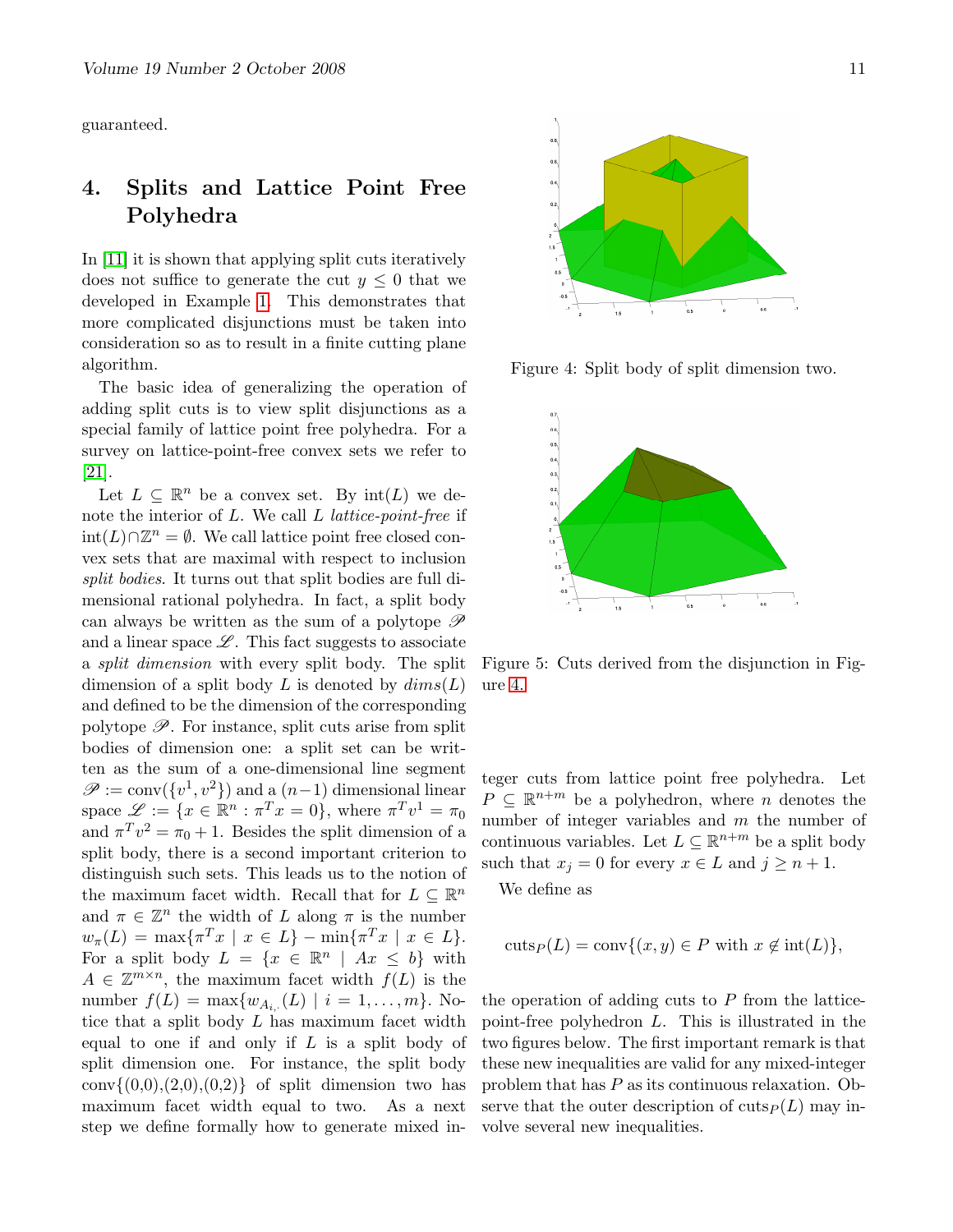guaranteed.

# 4. Splits and Lattice Point Free Polyhedra

In [\[11\]](#page-12-3) it is shown that applying split cuts iteratively does not suffice to generate the cut  $y \leq 0$  that we developed in Example [1.](#page-7-1) This demonstrates that more complicated disjunctions must be taken into consideration so as to result in a finite cutting plane algorithm.

The basic idea of generalizing the operation of adding split cuts is to view split disjunctions as a special family of lattice point free polyhedra. For a survey on lattice-point-free convex sets we refer to [\[21\]](#page-13-5).

Let  $L \subseteq \mathbb{R}^n$  be a convex set. By  $\text{int}(L)$  we denote the interior of  $L$ . We call  $L$  lattice-point-free if int(L)∩ $\mathbb{Z}^n = \emptyset$ . We call lattice point free closed convex sets that are maximal with respect to inclusion split bodies. It turns out that split bodies are full dimensional rational polyhedra. In fact, a split body can always be written as the sum of a polytope  $\mathscr P$ and a linear space  $\mathscr{L}$ . This fact suggests to associate a *split dimension* with every split body. The split dimension of a split body L is denoted by  $dim(s(L))$ and defined to be the dimension of the corresponding polytope  $\mathscr{P}$ . For instance, split cuts arise from split bodies of dimension one: a split set can be written as the sum of a one-dimensional line segment  $\mathscr{P} := \text{conv}(\{v^1, v^2\})$  and a  $(n-1)$  dimensional linear space  $\mathscr{L} := \{x \in \mathbb{R}^n : \pi^T x = 0\}$ , where  $\pi^T v^1 = \pi_0$ and  $\pi^T v^2 = \pi_0 + 1$ . Besides the split dimension of a split body, there is a second important criterion to distinguish such sets. This leads us to the notion of the maximum facet width. Recall that for  $L \subseteq \mathbb{R}^n$ and  $\pi \in \mathbb{Z}^n$  the width of L along  $\pi$  is the number  $w_{\pi}(L) = \max{\{\pi^T x \mid x \in L\}} - \min{\{\pi^T x \mid x \in L\}}.$ For a split body  $L = \{x \in \mathbb{R}^n \mid Ax \leq b\}$  with  $A \in \mathbb{Z}^{m \times n}$ , the maximum facet width  $f(L)$  is the number  $f(L) = \max\{w_{A_{i},(L)} \mid i = 1, \ldots, m\}$ . Notice that a split body L has maximum facet width equal to one if and only if  $L$  is a split body of split dimension one. For instance, the split body  $conv{(0,0),(2,0),(0,2)}$  of split dimension two has maximum facet width equal to two. As a next step we define formally how to generate mixed in-



Figure 4: Split body of split dimension two.



Figure 5: Cuts derived from the disjunction in Figure [4.](#page-3-0)

teger cuts from lattice point free polyhedra. Let  $P \subseteq \mathbb{R}^{n+m}$  be a polyhedron, where *n* denotes the number of integer variables and  $m$  the number of continuous variables. Let  $L \subseteq \mathbb{R}^{n+m}$  be a split body such that  $x_j = 0$  for every  $x \in L$  and  $j \geq n+1$ .

We define as

$$
cuts_P(L) = conv{(x, y) \in P with x \notin int(L)},
$$

the operation of adding cuts to  $P$  from the latticepoint-free polyhedron L. This is illustrated in the two figures below. The first important remark is that these new inequalities are valid for any mixed-integer problem that has P as its continuous relaxation. Observe that the outer description of cuts $P(L)$  may involve several new inequalities.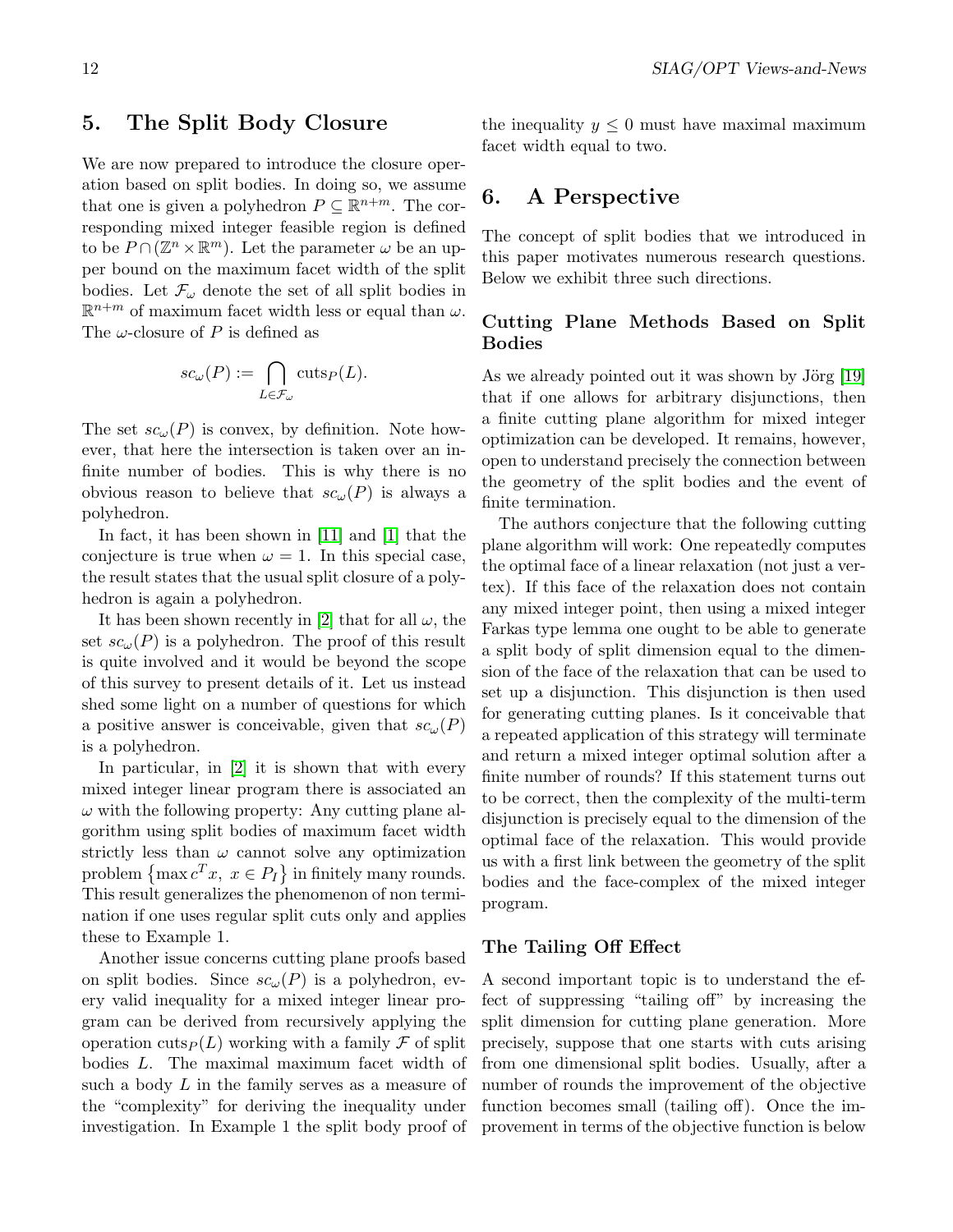We are now prepared to introduce the closure operation based on split bodies. In doing so, we assume that one is given a polyhedron  $P \subseteq \mathbb{R}^{n+m}$ . The corresponding mixed integer feasible region is defined to be  $P \cap (\mathbb{Z}^n \times \mathbb{R}^m)$ . Let the parameter  $\omega$  be an upper bound on the maximum facet width of the split bodies. Let  $\mathcal{F}_{\omega}$  denote the set of all split bodies in  $\mathbb{R}^{n+m}$  of maximum facet width less or equal than  $\omega$ . The  $\omega$ -closure of P is defined as

5. The Split Body Closure

$$
sc_{\omega}(P) := \bigcap_{L \in \mathcal{F}_{\omega}} \text{cuts}_P(L).
$$

The set  $sc_{\omega}(P)$  is convex, by definition. Note however, that here the intersection is taken over an infinite number of bodies. This is why there is no obvious reason to believe that  $sc_{\omega}(P)$  is always a polyhedron.

In fact, it has been shown in [\[11\]](#page-12-3) and [\[1\]](#page-12-16) that the conjecture is true when  $\omega = 1$ . In this special case, the result states that the usual split closure of a polyhedron is again a polyhedron.

It has been shown recently in [\[2\]](#page-12-17) that for all  $\omega$ , the set  $sc_{\omega}(P)$  is a polyhedron. The proof of this result is quite involved and it would be beyond the scope of this survey to present details of it. Let us instead shed some light on a number of questions for which a positive answer is conceivable, given that  $sc_{\omega}(P)$ is a polyhedron.

In particular, in [\[2\]](#page-12-17) it is shown that with every mixed integer linear program there is associated an  $\omega$  with the following property: Any cutting plane algorithm using split bodies of maximum facet width strictly less than  $\omega$  cannot solve any optimization problem  $\{\max c^T x, x \in P_I\}$  in finitely many rounds. This result generalizes the phenomenon of non termination if one uses regular split cuts only and applies these to Example 1.

Another issue concerns cutting plane proofs based on split bodies. Since  $sc_{\omega}(P)$  is a polyhedron, every valid inequality for a mixed integer linear program can be derived from recursively applying the operation cuts $P(L)$  working with a family F of split bodies L. The maximal maximum facet width of such a body  $L$  in the family serves as a measure of the "complexity" for deriving the inequality under investigation. In Example 1 the split body proof of the inequality  $y \leq 0$  must have maximal maximum facet width equal to two.

### 6. A Perspective

The concept of split bodies that we introduced in this paper motivates numerous research questions. Below we exhibit three such directions.

#### Cutting Plane Methods Based on Split Bodies

As we already pointed out it was shown by Jörg  $[19]$ that if one allows for arbitrary disjunctions, then a finite cutting plane algorithm for mixed integer optimization can be developed. It remains, however, open to understand precisely the connection between the geometry of the split bodies and the event of finite termination.

The authors conjecture that the following cutting plane algorithm will work: One repeatedly computes the optimal face of a linear relaxation (not just a vertex). If this face of the relaxation does not contain any mixed integer point, then using a mixed integer Farkas type lemma one ought to be able to generate a split body of split dimension equal to the dimension of the face of the relaxation that can be used to set up a disjunction. This disjunction is then used for generating cutting planes. Is it conceivable that a repeated application of this strategy will terminate and return a mixed integer optimal solution after a finite number of rounds? If this statement turns out to be correct, then the complexity of the multi-term disjunction is precisely equal to the dimension of the optimal face of the relaxation. This would provide us with a first link between the geometry of the split bodies and the face-complex of the mixed integer program.

#### The Tailing Off Effect

A second important topic is to understand the effect of suppressing "tailing off" by increasing the split dimension for cutting plane generation. More precisely, suppose that one starts with cuts arising from one dimensional split bodies. Usually, after a number of rounds the improvement of the objective function becomes small (tailing off). Once the improvement in terms of the objective function is below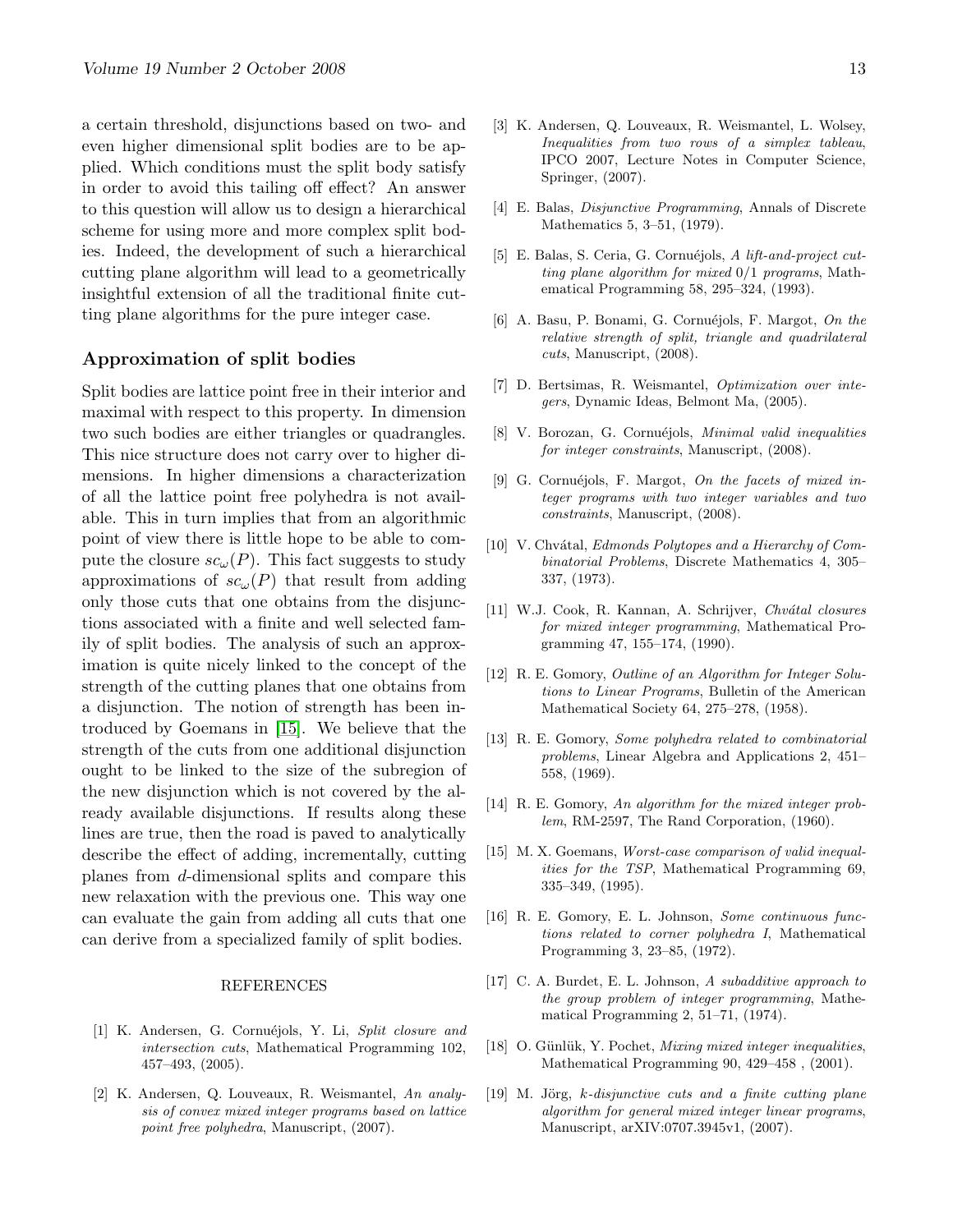a certain threshold, disjunctions based on two- and even higher dimensional split bodies are to be applied. Which conditions must the split body satisfy in order to avoid this tailing off effect? An answer to this question will allow us to design a hierarchical scheme for using more and more complex split bodies. Indeed, the development of such a hierarchical cutting plane algorithm will lead to a geometrically insightful extension of all the traditional finite cutting plane algorithms for the pure integer case.

#### Approximation of split bodies

Split bodies are lattice point free in their interior and maximal with respect to this property. In dimension two such bodies are either triangles or quadrangles. This nice structure does not carry over to higher dimensions. In higher dimensions a characterization of all the lattice point free polyhedra is not available. This in turn implies that from an algorithmic point of view there is little hope to be able to compute the closure  $sc_{\omega}(P)$ . This fact suggests to study approximations of  $sc_{\omega}(P)$  that result from adding only those cuts that one obtains from the disjunctions associated with a finite and well selected family of split bodies. The analysis of such an approximation is quite nicely linked to the concept of the strength of the cutting planes that one obtains from a disjunction. The notion of strength has been introduced by Goemans in [\[15\]](#page-12-18). We believe that the strength of the cuts from one additional disjunction ought to be linked to the size of the subregion of the new disjunction which is not covered by the already available disjunctions. If results along these lines are true, then the road is paved to analytically describe the effect of adding, incrementally, cutting planes from d-dimensional splits and compare this new relaxation with the previous one. This way one can evaluate the gain from adding all cuts that one can derive from a specialized family of split bodies.

#### REFERENCES

- <span id="page-12-16"></span>[1] K. Andersen, G. Cornuéjols, Y. Li, Split closure and intersection cuts, Mathematical Programming 102, 457–493, (2005).
- <span id="page-12-17"></span>[2] K. Andersen, Q. Louveaux, R. Weismantel, An analysis of convex mixed integer programs based on lattice point free polyhedra, Manuscript, (2007).
- <span id="page-12-10"></span>[3] K. Andersen, Q. Louveaux, R. Weismantel, L. Wolsey, Inequalities from two rows of a simplex tableau, IPCO 2007, Lecture Notes in Computer Science, Springer, (2007).
- <span id="page-12-14"></span>[4] E. Balas, Disjunctive Programming, Annals of Discrete Mathematics 5, 3–51, (1979).
- <span id="page-12-1"></span>[5] E. Balas, S. Ceria, G. Cornuéjols, A lift-and-project cutting plane algorithm for mixed 0/1 programs, Mathematical Programming 58, 295–324, (1993).
- <span id="page-12-13"></span>[6] A. Basu, P. Bonami, G. Cornuéjols, F. Margot, On the relative strength of split, triangle and quadrilateral cuts, Manuscript, (2008).
- <span id="page-12-4"></span>[7] D. Bertsimas, R. Weismantel, Optimization over integers, Dynamic Ideas, Belmont Ma, (2005).
- <span id="page-12-11"></span>[8] V. Borozan, G. Cornuéjols, Minimal valid inequalities for integer constraints, Manuscript, (2008).
- <span id="page-12-12"></span>[9] G. Cornuéjols, F. Margot, On the facets of mixed integer programs with two integer variables and two constraints, Manuscript, (2008).
- <span id="page-12-0"></span>[10] V. Chvátal, Edmonds Polytopes and a Hierarchy of Combinatorial Problems, Discrete Mathematics 4, 305– 337, (1973).
- <span id="page-12-3"></span>[11] W.J. Cook, R. Kannan, A. Schrijver, Chvátal closures for mixed integer programming, Mathematical Programming 47, 155–174, (1990).
- <span id="page-12-2"></span>[12] R. E. Gomory, Outline of an Algorithm for Integer Solutions to Linear Programs, Bulletin of the American Mathematical Society 64, 275–278, (1958).
- <span id="page-12-7"></span>[13] R. E. Gomory, Some polyhedra related to combinatorial problems, Linear Algebra and Applications 2, 451– 558, (1969).
- <span id="page-12-5"></span>[14] R. E. Gomory, An algorithm for the mixed integer problem, RM-2597, The Rand Corporation, (1960).
- <span id="page-12-18"></span>[15] M. X. Goemans, Worst-case comparison of valid inequalities for the TSP, Mathematical Programming 69, 335–349, (1995).
- <span id="page-12-9"></span>[16] R. E. Gomory, E. L. Johnson, Some continuous functions related to corner polyhedra I, Mathematical Programming 3, 23–85, (1972).
- <span id="page-12-8"></span>[17] C. A. Burdet, E. L. Johnson, A subadditive approach to the group problem of integer programming, Mathematical Programming 2, 51–71, (1974).
- <span id="page-12-6"></span>[18] O. Günlük, Y. Pochet, *Mixing mixed integer inequalities*, Mathematical Programming 90, 429–458 , (2001).
- <span id="page-12-15"></span> $[19]$  M. Jörg, k-disjunctive cuts and a finite cutting plane algorithm for general mixed integer linear programs, Manuscript, arXIV:0707.3945v1, (2007).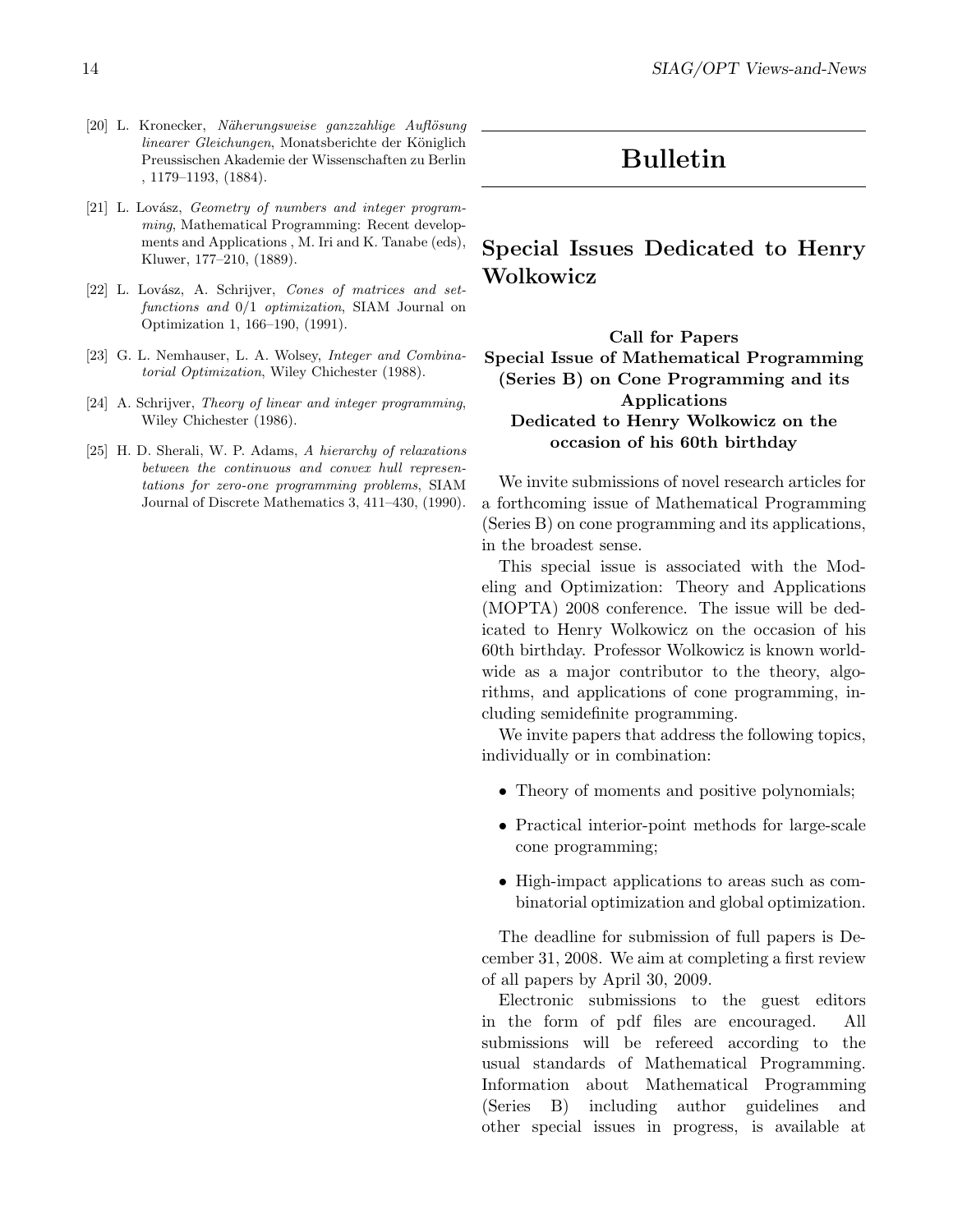- [20] L. Kronecker, Näherungsweise ganzzahlige Auflösung linearer Gleichungen, Monatsberichte der Königlich Preussischen Akademie der Wissenschaften zu Berlin , 1179–1193, (1884).
- <span id="page-13-5"></span>[21] L. Lovász, Geometry of numbers and integer programming, Mathematical Programming: Recent developments and Applications , M. Iri and K. Tanabe (eds), Kluwer, 177–210, (1889).
- <span id="page-13-3"></span>[22] L. Lovász, A. Schrijver, Cones of matrices and setfunctions and 0/1 optimization, SIAM Journal on Optimization 1, 166–190, (1991).
- <span id="page-13-1"></span>[23] G. L. Nemhauser, L. A. Wolsey, *Integer and Combina*torial Optimization, Wiley Chichester (1988).
- <span id="page-13-2"></span>[24] A. Schrijver, Theory of linear and integer programming, Wiley Chichester (1986).
- <span id="page-13-4"></span>[25] H. D. Sherali, W. P. Adams, A hierarchy of relaxations between the continuous and convex hull representations for zero-one programming problems, SIAM Journal of Discrete Mathematics 3, 411–430, (1990).

# Bulletin

# <span id="page-13-0"></span>Special Issues Dedicated to Henry Wolkowicz

#### Call for Papers Special Issue of Mathematical Programming (Series B) on Cone Programming and its Applications Dedicated to Henry Wolkowicz on the occasion of his 60th birthday

We invite submissions of novel research articles for a forthcoming issue of Mathematical Programming (Series B) on cone programming and its applications, in the broadest sense.

This special issue is associated with the Modeling and Optimization: Theory and Applications (MOPTA) 2008 conference. The issue will be dedicated to Henry Wolkowicz on the occasion of his 60th birthday. Professor Wolkowicz is known worldwide as a major contributor to the theory, algorithms, and applications of cone programming, including semidefinite programming.

We invite papers that address the following topics, individually or in combination:

- Theory of moments and positive polynomials;
- Practical interior-point methods for large-scale cone programming;
- High-impact applications to areas such as combinatorial optimization and global optimization.

The deadline for submission of full papers is December 31, 2008. We aim at completing a first review of all papers by April 30, 2009.

Electronic submissions to the guest editors in the form of pdf files are encouraged. All submissions will be refereed according to the usual standards of Mathematical Programming. Information about Mathematical Programming (Series B) including author guidelines and other special issues in progress, is available at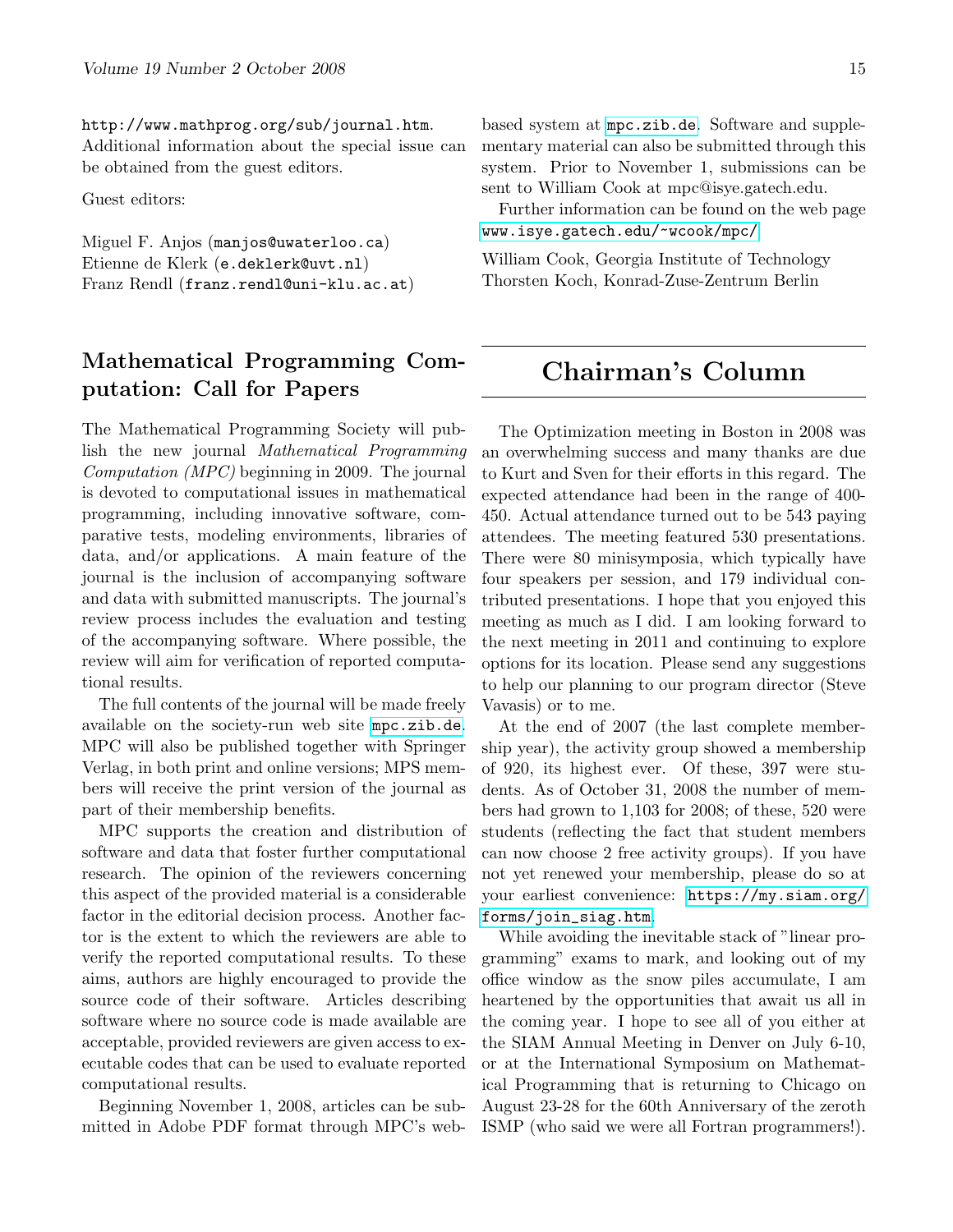http://www.mathprog.org/sub/journal.htm. Additional information about the special issue can be obtained from the guest editors.

Guest editors:

Miguel F. Anjos (manjos@uwaterloo.ca) Etienne de Klerk (e.deklerk@uvt.nl) Franz Rendl (franz.rendl@uni-klu.ac.at)

# Mathematical Programming Computation: Call for Papers

The Mathematical Programming Society will publish the new journal Mathematical Programming Computation (MPC) beginning in 2009. The journal is devoted to computational issues in mathematical programming, including innovative software, comparative tests, modeling environments, libraries of data, and/or applications. A main feature of the journal is the inclusion of accompanying software and data with submitted manuscripts. The journal's review process includes the evaluation and testing of the accompanying software. Where possible, the review will aim for verification of reported computational results.

The full contents of the journal will be made freely available on the society-run web site <mpc.zib.de>. MPC will also be published together with Springer Verlag, in both print and online versions; MPS members will receive the print version of the journal as part of their membership benefits.

MPC supports the creation and distribution of software and data that foster further computational research. The opinion of the reviewers concerning this aspect of the provided material is a considerable factor in the editorial decision process. Another factor is the extent to which the reviewers are able to verify the reported computational results. To these aims, authors are highly encouraged to provide the source code of their software. Articles describing software where no source code is made available are acceptable, provided reviewers are given access to executable codes that can be used to evaluate reported computational results.

Beginning November 1, 2008, articles can be submitted in Adobe PDF format through MPC's web-

based system at <mpc.zib.de>. Software and supplementary material can also be submitted through this system. Prior to November 1, submissions can be sent to William Cook at mpc@isye.gatech.edu.

Further information can be found on the web page <www.isye.gatech.edu/~wcook/mpc/>

<span id="page-14-0"></span>William Cook, Georgia Institute of Technology Thorsten Koch, Konrad-Zuse-Zentrum Berlin

# Chairman's Column

The Optimization meeting in Boston in 2008 was an overwhelming success and many thanks are due to Kurt and Sven for their efforts in this regard. The expected attendance had been in the range of 400- 450. Actual attendance turned out to be 543 paying attendees. The meeting featured 530 presentations. There were 80 minisymposia, which typically have four speakers per session, and 179 individual contributed presentations. I hope that you enjoyed this meeting as much as I did. I am looking forward to the next meeting in 2011 and continuing to explore options for its location. Please send any suggestions to help our planning to our program director (Steve Vavasis) or to me.

At the end of 2007 (the last complete membership year), the activity group showed a membership of 920, its highest ever. Of these, 397 were students. As of October 31, 2008 the number of members had grown to 1,103 for 2008; of these, 520 were students (reflecting the fact that student members can now choose 2 free activity groups). If you have not yet renewed your membership, please do so at your earliest convenience: [https://my.siam.org/](https://my.siam.org/forms/join_siag.htm) [forms/join\\_siag.htm](https://my.siam.org/forms/join_siag.htm).

While avoiding the inevitable stack of "linear programming" exams to mark, and looking out of my office window as the snow piles accumulate, I am heartened by the opportunities that await us all in the coming year. I hope to see all of you either at the SIAM Annual Meeting in Denver on July 6-10, or at the International Symposium on Mathematical Programming that is returning to Chicago on August 23-28 for the 60th Anniversary of the zeroth ISMP (who said we were all Fortran programmers!).